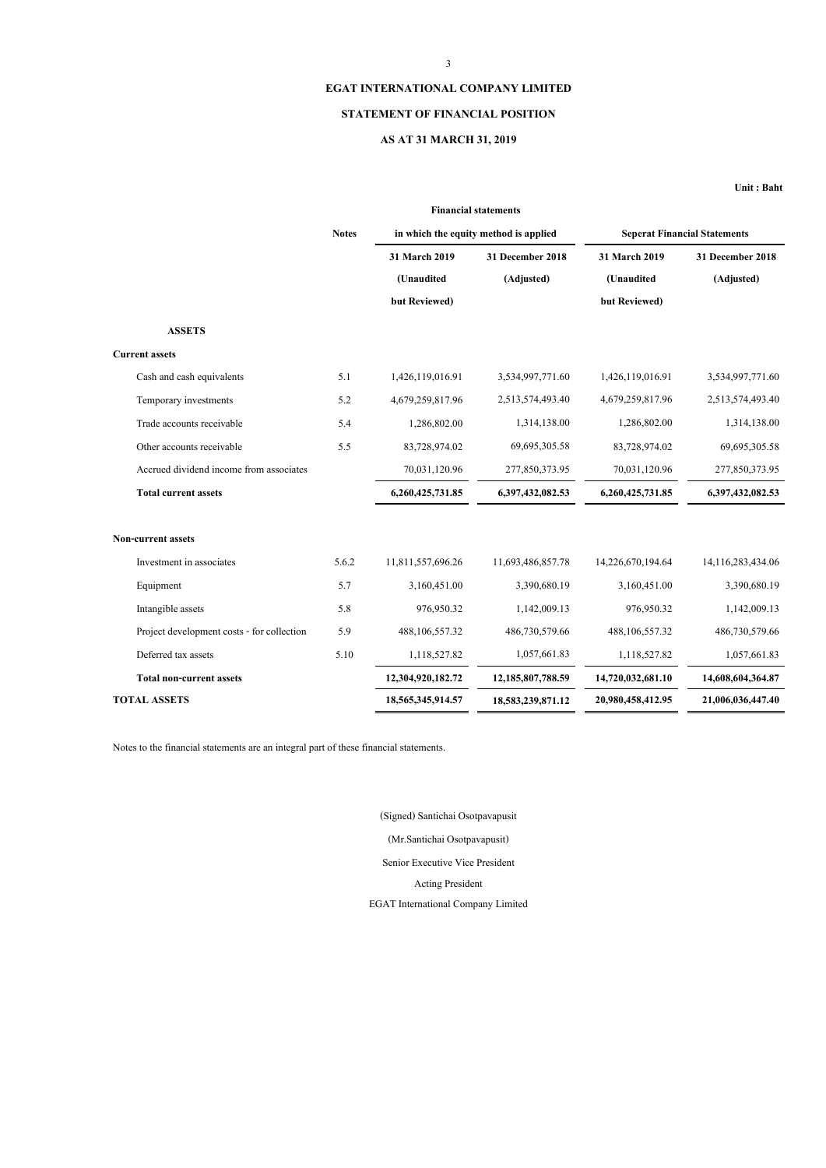## **EGAT INTERNATIONAL COMPANY LIMITED**

## **STATEMENT OF FINANCIAL POSITION**

## **AS AT 31 MARCH 31, 2019**

**Unit : Baht**

| <b>Financial statements</b>                |              |                   |                                       |                   |                                     |  |
|--------------------------------------------|--------------|-------------------|---------------------------------------|-------------------|-------------------------------------|--|
|                                            | <b>Notes</b> |                   | in which the equity method is applied |                   | <b>Seperat Financial Statements</b> |  |
|                                            |              | 31 March 2019     | 31 December 2018                      | 31 March 2019     | 31 December 2018                    |  |
|                                            |              | (Unaudited        | (Adjusted)                            | (Unaudited        | (Adjusted)                          |  |
|                                            |              | but Reviewed)     |                                       | but Reviewed)     |                                     |  |
| <b>ASSETS</b>                              |              |                   |                                       |                   |                                     |  |
| <b>Current assets</b>                      |              |                   |                                       |                   |                                     |  |
| Cash and cash equivalents                  | 5.1          | 1,426,119,016.91  | 3,534,997,771.60                      | 1,426,119,016.91  | 3,534,997,771.60                    |  |
| Temporary investments                      | 5.2          | 4,679,259,817.96  | 2,513,574,493.40                      | 4,679,259,817.96  | 2,513,574,493.40                    |  |
| Trade accounts receivable                  | 5.4          | 1,286,802.00      | 1,314,138.00                          | 1,286,802.00      | 1,314,138.00                        |  |
| Other accounts receivable                  | 5.5          | 83,728,974.02     | 69,695,305.58                         | 83,728,974.02     | 69,695,305.58                       |  |
| Accrued dividend income from associates    |              | 70,031,120.96     | 277,850,373.95                        | 70,031,120.96     | 277,850,373.95                      |  |
| <b>Total current assets</b>                |              | 6,260,425,731.85  | 6,397,432,082.53                      | 6,260,425,731.85  | 6,397,432,082.53                    |  |
| Non-current assets                         |              |                   |                                       |                   |                                     |  |
| Investment in associates                   | 5.6.2        | 11,811,557,696.26 | 11,693,486,857.78                     | 14,226,670,194.64 | 14,116,283,434.06                   |  |
| Equipment                                  | 5.7          | 3,160,451.00      | 3,390,680.19                          | 3,160,451.00      | 3,390,680.19                        |  |
| Intangible assets                          | 5.8          | 976,950.32        | 1,142,009.13                          | 976,950.32        | 1,142,009.13                        |  |
| Project development costs - for collection | 5.9          | 488,106,557.32    | 486,730,579.66                        | 488,106,557.32    | 486,730,579.66                      |  |
| Deferred tax assets                        | 5.10         | 1,118,527.82      | 1,057,661.83                          | 1,118,527.82      | 1,057,661.83                        |  |
| <b>Total non-current assets</b>            |              | 12,304,920,182.72 | 12,185,807,788.59                     | 14,720,032,681.10 | 14,608,604,364.87                   |  |
| <b>TOTAL ASSETS</b>                        |              | 18,565,345,914.57 | 18,583,239,871.12                     | 20,980,458,412.95 | 21,006,036,447.40                   |  |
|                                            |              |                   |                                       |                   |                                     |  |

Notes to the financial statements are an integral part of these financial statements.

(Mr.Santichai Osotpavapusit) EGAT International Company Limited Senior Executive Vice President Acting President (Signed) Santichai Osotpavapusit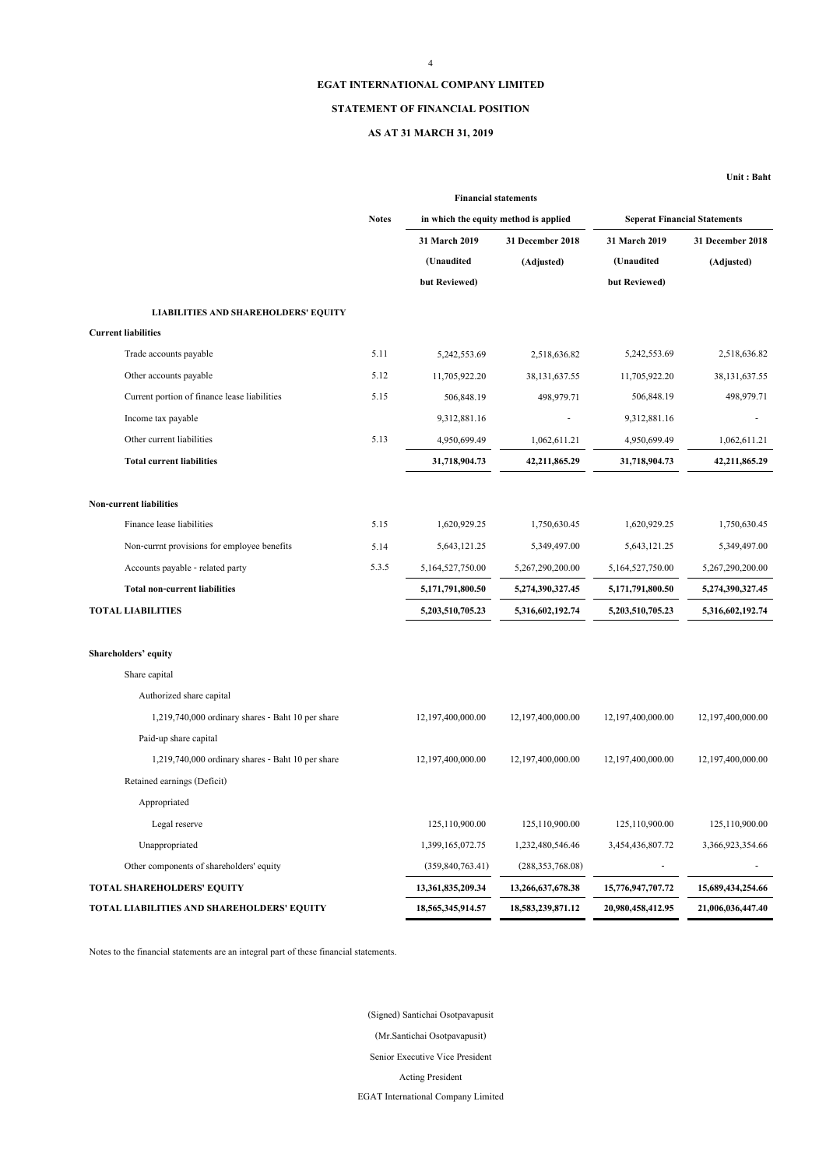### 4

## **EGAT INTERNATIONAL COMPANY LIMITED**

#### **STATEMENT OF FINANCIAL POSITION**

## **AS AT 31 MARCH 31, 2019**

**Unit : Baht**

|                                                   | <b>Financial statements</b> |                                       |                    |                                     |                   |  |
|---------------------------------------------------|-----------------------------|---------------------------------------|--------------------|-------------------------------------|-------------------|--|
|                                                   | <b>Notes</b>                | in which the equity method is applied |                    | <b>Seperat Financial Statements</b> |                   |  |
|                                                   |                             | 31 March 2019                         | 31 December 2018   | 31 March 2019                       | 31 December 2018  |  |
|                                                   |                             | (Unaudited                            | (Adjusted)         | (Unaudited                          | (Adjusted)        |  |
|                                                   |                             | but Reviewed)                         |                    | but Reviewed)                       |                   |  |
| <b>LIABILITIES AND SHAREHOLDERS' EQUITY</b>       |                             |                                       |                    |                                     |                   |  |
| <b>Current liabilities</b>                        |                             |                                       |                    |                                     |                   |  |
| Trade accounts payable                            | 5.11                        | 5,242,553.69                          | 2,518,636.82       | 5,242,553.69                        | 2,518,636.82      |  |
| Other accounts payable                            | 5.12                        | 11,705,922.20                         | 38, 131, 637. 55   | 11,705,922.20                       | 38, 131, 637. 55  |  |
| Current portion of finance lease liabilities      | 5.15                        | 506,848.19                            | 498,979.71         | 506,848.19                          | 498,979.71        |  |
| Income tax payable                                |                             | 9,312,881.16                          |                    | 9,312,881.16                        |                   |  |
| Other current liabilities                         | 5.13                        | 4,950,699.49                          | 1,062,611.21       | 4,950,699.49                        | 1,062,611.21      |  |
| <b>Total current liabilities</b>                  |                             | 31,718,904.73                         | 42,211,865.29      | 31,718,904.73                       | 42,211,865.29     |  |
| Non-current liabilities                           |                             |                                       |                    |                                     |                   |  |
| Finance lease liabilities                         | 5.15                        | 1,620,929.25                          | 1,750,630.45       | 1,620,929.25                        | 1,750,630.45      |  |
| Non-currnt provisions for employee benefits       | 5.14                        | 5,643,121.25                          | 5,349,497.00       | 5,643,121.25                        | 5,349,497.00      |  |
| Accounts payable - related party                  | 5.3.5                       | 5,164,527,750.00                      | 5,267,290,200.00   | 5,164,527,750.00                    | 5,267,290,200.00  |  |
| <b>Total non-current liabilities</b>              |                             | 5,171,791,800.50                      | 5,274,390,327.45   | 5,171,791,800.50                    | 5,274,390,327.45  |  |
| <b>TOTAL LIABILITIES</b>                          |                             | 5,203,510,705.23                      | 5,316,602,192.74   | 5,203,510,705.23                    | 5,316,602,192.74  |  |
|                                                   |                             |                                       |                    |                                     |                   |  |
| Shareholders' equity                              |                             |                                       |                    |                                     |                   |  |
| Share capital                                     |                             |                                       |                    |                                     |                   |  |
| Authorized share capital                          |                             |                                       |                    |                                     |                   |  |
| 1,219,740,000 ordinary shares - Baht 10 per share |                             | 12,197,400,000.00                     | 12,197,400,000.00  | 12,197,400,000.00                   | 12,197,400,000.00 |  |
| Paid-up share capital                             |                             |                                       |                    |                                     |                   |  |
| 1,219,740,000 ordinary shares - Baht 10 per share |                             | 12,197,400,000.00                     | 12,197,400,000.00  | 12,197,400,000.00                   | 12,197,400,000.00 |  |
| Retained earnings (Deficit)                       |                             |                                       |                    |                                     |                   |  |
| Appropriated                                      |                             |                                       |                    |                                     |                   |  |
| Legal reserve                                     |                             | 125,110,900.00                        | 125,110,900.00     | 125,110,900.00                      | 125,110,900.00    |  |
| Unappropriated                                    |                             | 1,399,165,072.75                      | 1,232,480,546.46   | 3,454,436,807.72                    | 3,366,923,354.66  |  |
| Other components of shareholders' equity          |                             | (359, 840, 763.41)                    | (288, 353, 768.08) |                                     |                   |  |
| TOTAL SHAREHOLDERS' EQUITY                        |                             | 13,361,835,209.34                     | 13,266,637,678.38  | 15,776,947,707.72                   | 15,689,434,254.66 |  |
| TOTAL LIABILITIES AND SHAREHOLDERS' EQUITY        |                             | 18,565,345,914.57                     | 18,583,239,871.12  | 20,980,458,412.95                   | 21,006,036,447.40 |  |

Notes to the financial statements are an integral part of these financial statements.

EGAT International Company Limited (Mr.Santichai Osotpavapusit) Senior Executive Vice President Acting President (Signed) Santichai Osotpavapusit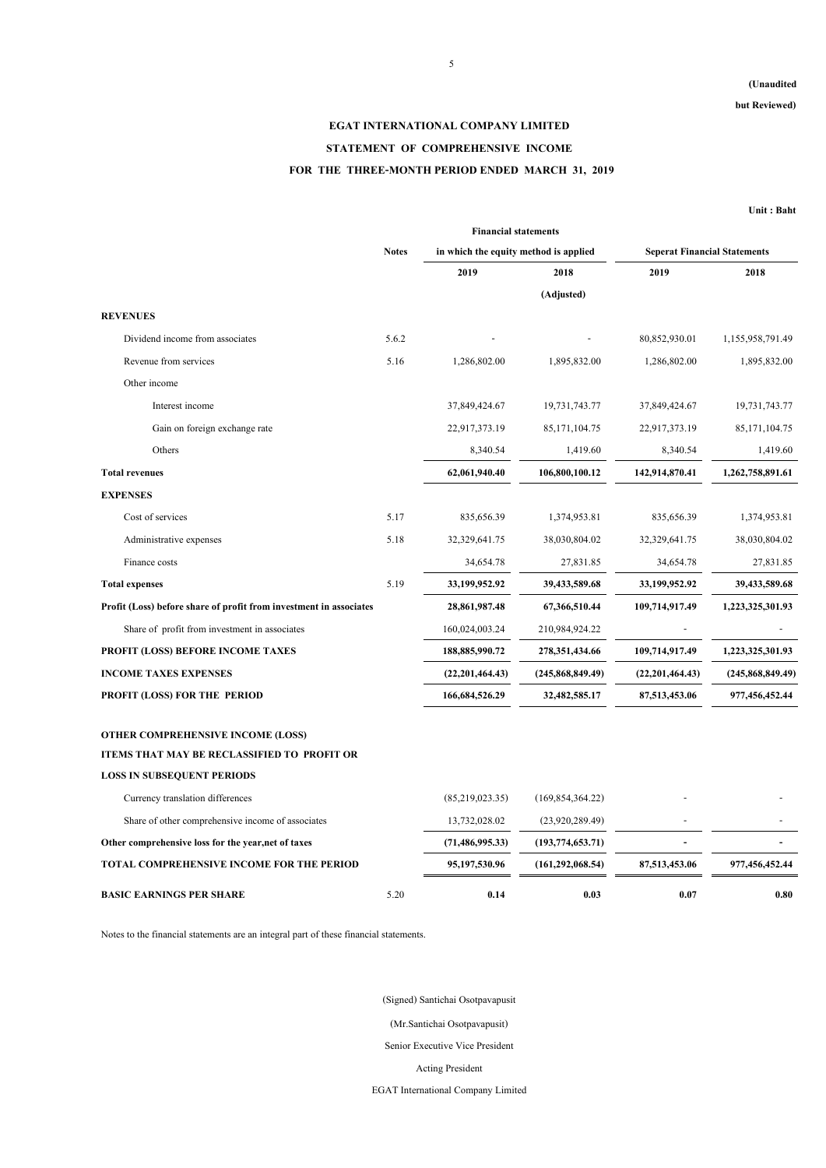## **(Unaudited**

**but Reviewed)**

# **EGAT INTERNATIONAL COMPANY LIMITED STATEMENT OF COMPREHENSIVE INCOME FOR THE THREE-MONTH PERIOD ENDED MARCH 31, 2019**

**Unit : Baht**

|                                                                    | <b>Financial statements</b> |                                       |                     |                                     |                    |
|--------------------------------------------------------------------|-----------------------------|---------------------------------------|---------------------|-------------------------------------|--------------------|
|                                                                    | <b>Notes</b>                | in which the equity method is applied |                     | <b>Seperat Financial Statements</b> |                    |
|                                                                    |                             | 2019                                  | 2018                | 2019                                | 2018               |
|                                                                    |                             |                                       | (Adjusted)          |                                     |                    |
| <b>REVENUES</b>                                                    |                             |                                       |                     |                                     |                    |
| Dividend income from associates                                    | 5.6.2                       |                                       |                     | 80,852,930.01                       | 1,155,958,791.49   |
| Revenue from services                                              | 5.16                        | 1,286,802.00                          | 1,895,832.00        | 1,286,802.00                        | 1,895,832.00       |
| Other income                                                       |                             |                                       |                     |                                     |                    |
| Interest income                                                    |                             | 37,849,424.67                         | 19,731,743.77       | 37,849,424.67                       | 19,731,743.77      |
| Gain on foreign exchange rate                                      |                             | 22,917,373.19                         | 85, 171, 104. 75    | 22,917,373.19                       | 85, 171, 104. 75   |
| Others                                                             |                             | 8,340.54                              | 1,419.60            | 8,340.54                            | 1,419.60           |
| <b>Total revenues</b>                                              |                             | 62,061,940.40                         | 106,800,100.12      | 142,914,870.41                      | 1,262,758,891.61   |
| <b>EXPENSES</b>                                                    |                             |                                       |                     |                                     |                    |
| Cost of services                                                   | 5.17                        | 835,656.39                            | 1,374,953.81        | 835,656.39                          | 1,374,953.81       |
| Administrative expenses                                            | 5.18                        | 32,329,641.75                         | 38,030,804.02       | 32,329,641.75                       | 38,030,804.02      |
| Finance costs                                                      |                             | 34,654.78                             | 27,831.85           | 34,654.78                           | 27,831.85          |
| <b>Total expenses</b>                                              | 5.19                        | 33,199,952.92                         | 39,433,589.68       | 33,199,952.92                       | 39,433,589.68      |
| Profit (Loss) before share of profit from investment in associates |                             | 28,861,987.48                         | 67,366,510.44       | 109,714,917.49                      | 1,223,325,301.93   |
| Share of profit from investment in associates                      |                             | 160,024,003.24                        | 210,984,924.22      |                                     |                    |
| PROFIT (LOSS) BEFORE INCOME TAXES                                  |                             | 188,885,990.72                        | 278, 351, 434.66    | 109,714,917.49                      | 1,223,325,301.93   |
| <b>INCOME TAXES EXPENSES</b>                                       |                             | (22, 201, 464.43)                     | (245,868,849.49)    | (22, 201, 464, 43)                  | (245, 868, 849.49) |
| PROFIT (LOSS) FOR THE PERIOD                                       |                             | 166,684,526.29                        | 32,482,585.17       | 87,513,453.06                       | 977,456,452.44     |
| OTHER COMPREHENSIVE INCOME (LOSS)                                  |                             |                                       |                     |                                     |                    |
| ITEMS THAT MAY BE RECLASSIFIED TO PROFIT OR                        |                             |                                       |                     |                                     |                    |
| <b>LOSS IN SUBSEQUENT PERIODS</b>                                  |                             |                                       |                     |                                     |                    |
| Currency translation differences                                   |                             | (85,219,023.35)                       | (169, 854, 364, 22) |                                     |                    |
| Share of other comprehensive income of associates                  |                             | 13,732,028.02                         | (23,920,289,49)     |                                     |                    |
| Other comprehensive loss for the year, net of taxes                |                             | (71, 486, 995.33)                     | (193, 774, 653, 71) |                                     |                    |
| TOTAL COMPREHENSIVE INCOME FOR THE PERIOD                          |                             | 95,197,530.96                         | (161, 292, 068.54)  | 87,513,453.06                       | 977,456,452.44     |
| <b>BASIC EARNINGS PER SHARE</b>                                    | 5.20                        | 0.14                                  | 0.03                | 0.07                                | 0.80               |

Notes to the financial statements are an integral part of these financial statements.

(Signed) Santichai Osotpavapusit

(Mr.Santichai Osotpavapusit)

Senior Executive Vice President

Acting President

EGAT International Company Limited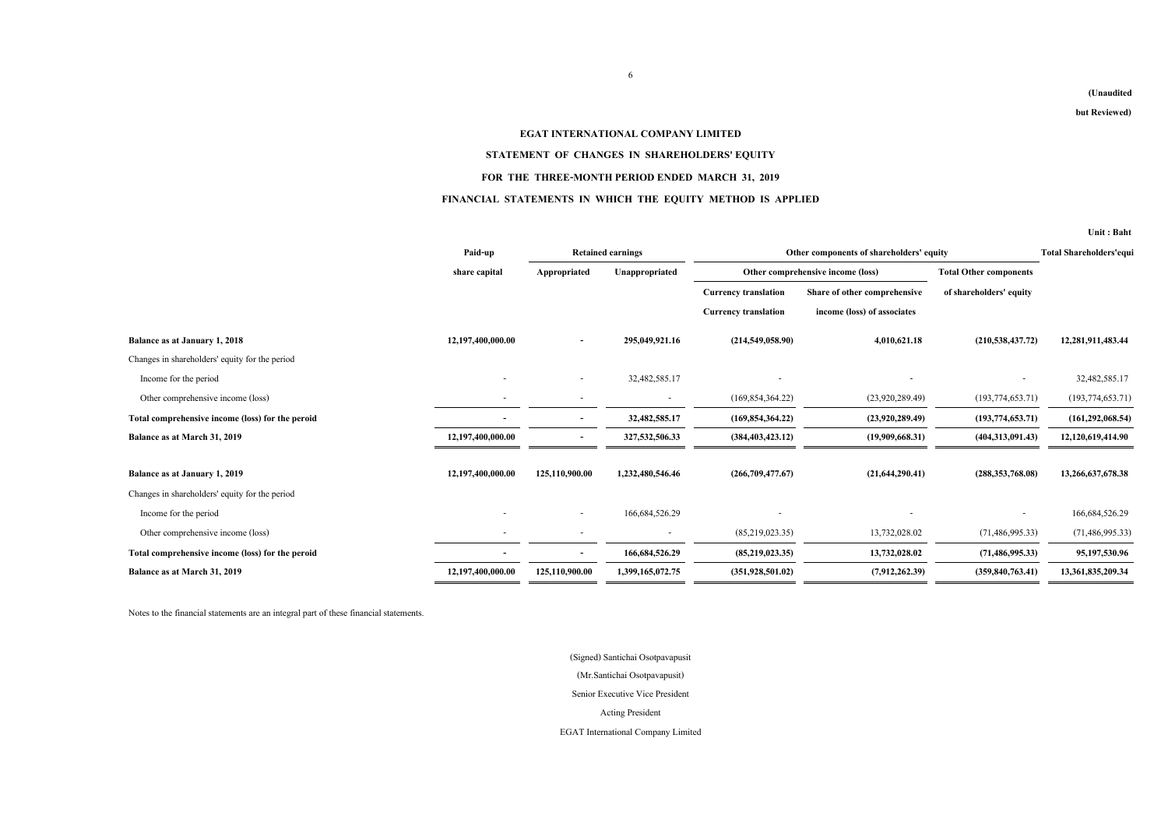#### **(Unaudited**

**but Reviewed)**

#### **EGAT INTERNATIONAL COMPANY LIMITED**

#### **STATEMENT OF CHANGES IN SHAREHOLDERS' EQUITY**

#### **FOR THE THREE-MONTH PERIOD ENDED MARCH 31, 2019**

#### **FINANCIAL STATEMENTS IN WHICH THE EQUITY METHOD IS APPLIED**

**Unit : Baht**

|                                                  | Paid-up                  |                          | <b>Retained earnings</b> |                             | Other components of shareholders' equity | <b>Total Shareholders'equi</b> |                    |
|--------------------------------------------------|--------------------------|--------------------------|--------------------------|-----------------------------|------------------------------------------|--------------------------------|--------------------|
|                                                  | share capital            | Appropriated             | Unappropriated           |                             | Other comprehensive income (loss)        | <b>Total Other components</b>  |                    |
|                                                  |                          |                          |                          | <b>Currency translation</b> | Share of other comprehensive             | of shareholders' equity        |                    |
|                                                  |                          |                          |                          | <b>Currency translation</b> | income (loss) of associates              |                                |                    |
| Balance as at January 1, 2018                    | 12,197,400,000.00        | $\overline{\phantom{a}}$ | 295,049,921.16           | (214,549,058.90)            | 4,010,621.18                             | (210, 538, 437, 72)            | 12,281,911,483.44  |
| Changes in shareholders' equity for the period   |                          |                          |                          |                             |                                          |                                |                    |
| Income for the period                            |                          |                          | 32,482,585.17            |                             |                                          |                                | 32,482,585.17      |
| Other comprehensive income (loss)                | $\sim$                   |                          | $\overline{\phantom{a}}$ | (169, 854, 364, 22)         | (23,920,289.49)                          | (193, 774, 653.71)             | (193, 774, 653.71) |
| Total comprehensive income (loss) for the peroid |                          |                          | 32,482,585.17            | (169, 854, 364, 22)         | (23,920,289,49)                          | (193, 774, 653, 71)            | (161, 292, 068.54) |
| Balance as at March 31, 2019                     | 12,197,400,000.00        |                          | 327,532,506.33           | (384, 403, 423.12)          | (19,909,668.31)                          | (404, 313, 091.43)             | 12,120,619,414.90  |
| Balance as at January 1, 2019                    | 12,197,400,000.00        | 125,110,900.00           | 1,232,480,546.46         | (266,709,477.67)            | (21, 644, 290.41)                        | (288, 353, 768.08)             | 13,266,637,678.38  |
| Changes in shareholders' equity for the period   |                          |                          |                          |                             |                                          |                                |                    |
| Income for the period                            |                          | $\sim$                   | 166, 684, 526. 29        |                             |                                          |                                | 166,684,526.29     |
| Other comprehensive income (loss)                | $\overline{\phantom{a}}$ |                          | $\sim$                   | (85,219,023.35)             | 13,732,028.02                            | (71, 486, 995.33)              | (71, 486, 995.33)  |
| Total comprehensive income (loss) for the peroid |                          | $\overline{\phantom{a}}$ | 166,684,526.29           | (85,219,023.35)             | 13,732,028.02                            | (71, 486, 995, 33)             | 95,197,530.96      |
| Balance as at March 31, 2019                     | 12,197,400,000.00        | 125,110,900.00           | 1,399,165,072.75         | (351,928,501,02)            | (7,912,262.39)                           | (359, 840, 763, 41)            | 13,361,835,209.34  |

Notes to the financial statements are an integral part of these financial statements.

EGAT International Company Limited (Mr.Santichai Osotpavapusit) Senior Executive Vice President Acting President (Signed) Santichai Osotpavapusit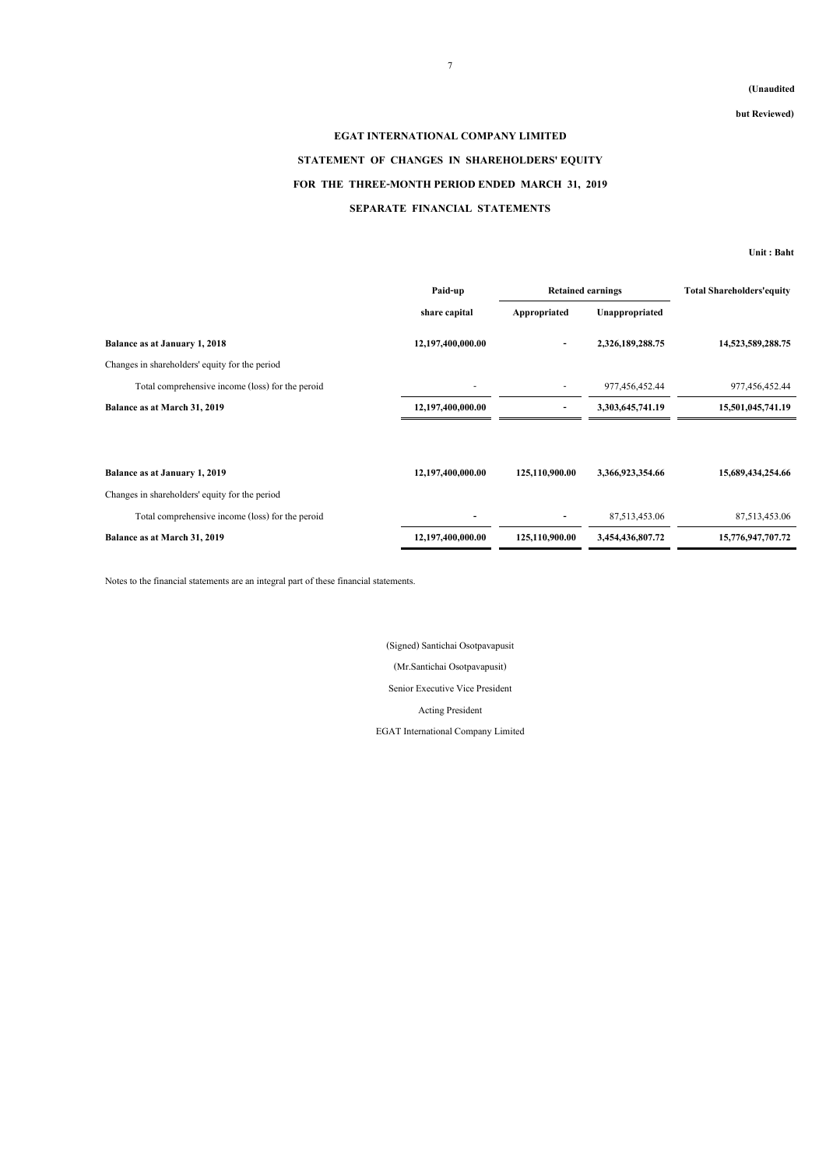#### **(Unaudited**

**but Reviewed)**

# **EGAT INTERNATIONAL COMPANY LIMITED STATEMENT OF CHANGES IN SHAREHOLDERS' EQUITY FOR THE THREE-MONTH PERIOD ENDED MARCH 31, 2019 SEPARATE FINANCIAL STATEMENTS**

**Unit : Baht**

|                                                  | Paid-up           | <b>Retained earnings</b> |                  | <b>Total Shareholders'equity</b> |  |
|--------------------------------------------------|-------------------|--------------------------|------------------|----------------------------------|--|
|                                                  | share capital     | Appropriated             | Unappropriated   |                                  |  |
| Balance as at January 1, 2018                    | 12,197,400,000.00 | ٠                        | 2,326,189,288.75 | 14,523,589,288.75                |  |
| Changes in shareholders' equity for the period   |                   |                          |                  |                                  |  |
| Total comprehensive income (loss) for the peroid |                   |                          | 977,456,452.44   | 977,456,452.44                   |  |
| Balance as at March 31, 2019                     | 12,197,400,000.00 |                          | 3,303,645,741.19 | 15,501,045,741.19                |  |
|                                                  |                   |                          |                  |                                  |  |
| Balance as at January 1, 2019                    | 12,197,400,000.00 | 125,110,900.00           | 3,366,923,354.66 | 15,689,434,254.66                |  |
| Changes in shareholders' equity for the period   |                   |                          |                  |                                  |  |
| Total comprehensive income (loss) for the peroid |                   | ۰                        | 87,513,453.06    | 87,513,453.06                    |  |
| Balance as at March 31, 2019                     | 12,197,400,000.00 | 125,110,900.00           | 3,454,436,807.72 | 15,776,947,707.72                |  |

Notes to the financial statements are an integral part of these financial statements.

(Mr.Santichai Osotpavapusit) Senior Executive Vice President Acting President (Signed) Santichai Osotpavapusit

EGAT International Company Limited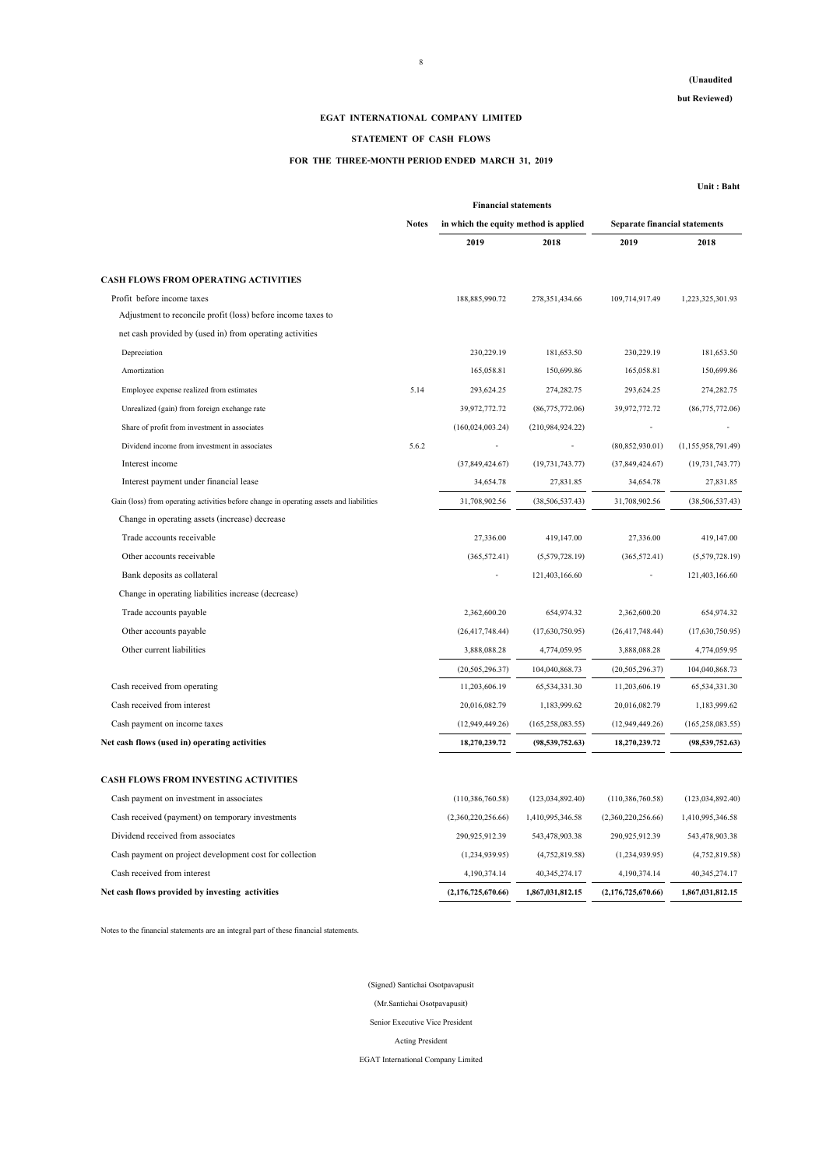## **EGAT INTERNATIONAL COMPANY LIMITED**

## **STATEMENT OF CASH FLOWS**

## **FOR THE THREE-MONTH PERIOD ENDED MARCH 31, 2019**

**Unit : Baht**

|                                                                                         |              | <b>Financial statements</b>           |                    |                                      |                    |
|-----------------------------------------------------------------------------------------|--------------|---------------------------------------|--------------------|--------------------------------------|--------------------|
|                                                                                         | <b>Notes</b> | in which the equity method is applied |                    | <b>Separate financial statements</b> |                    |
|                                                                                         |              | 2019                                  | 2018               | 2019                                 | 2018               |
| <b>CASH FLOWS FROM OPERATING ACTIVITIES</b>                                             |              |                                       |                    |                                      |                    |
| Profit before income taxes                                                              |              | 188,885,990.72                        | 278,351,434.66     | 109,714,917.49                       | 1,223,325,301.93   |
| Adjustment to reconcile profit (loss) before income taxes to                            |              |                                       |                    |                                      |                    |
| net cash provided by (used in) from operating activities                                |              |                                       |                    |                                      |                    |
| Depreciation                                                                            |              | 230,229.19                            | 181,653.50         | 230,229.19                           | 181,653.50         |
| Amortization                                                                            |              | 165,058.81                            | 150,699.86         | 165,058.81                           | 150,699.86         |
| Employee expense realized from estimates                                                | 5.14         | 293,624.25                            | 274,282.75         | 293,624.25                           | 274,282.75         |
| Unrealized (gain) from foreign exchange rate                                            |              | 39,972,772.72                         | (86,775,772.06)    | 39,972,772.72                        | (86,775,772.06)    |
| Share of profit from investment in associates                                           |              | (160, 024, 003.24)                    | (210,984,924.22)   |                                      |                    |
| Dividend income from investment in associates                                           | 5.6.2        |                                       |                    | (80, 852, 930.01)                    | (1,155,958,791.49) |
| Interest income                                                                         |              | (37, 849, 424.67)                     | (19, 731, 743.77)  | (37, 849, 424.67)                    | (19, 731, 743.77)  |
| Interest payment under financial lease                                                  |              | 34,654.78                             | 27,831.85          | 34,654.78                            | 27,831.85          |
| Gain (loss) from operating activities before change in operating assets and liabilities |              | 31,708,902.56                         | (38, 506, 537.43)  | 31,708,902.56                        | (38, 506, 537.43)  |
| Change in operating assets (increase) decrease                                          |              |                                       |                    |                                      |                    |
| Trade accounts receivable                                                               |              | 27,336.00                             | 419,147.00         | 27,336.00                            | 419,147.00         |
| Other accounts receivable                                                               |              | (365, 572.41)                         | (5,579,728.19)     | (365, 572.41)                        | (5,579,728.19)     |
| Bank deposits as collateral                                                             |              |                                       | 121,403,166.60     |                                      | 121,403,166.60     |
| Change in operating liabilities increase (decrease)                                     |              |                                       |                    |                                      |                    |
| Trade accounts payable                                                                  |              | 2,362,600.20                          | 654,974.32         | 2,362,600.20                         | 654,974.32         |
| Other accounts payable                                                                  |              | (26, 417, 748, 44)                    | (17,630,750.95)    | (26, 417, 748.44)                    | (17,630,750.95)    |
| Other current liabilities                                                               |              | 3,888,088.28                          | 4,774,059.95       | 3,888,088.28                         | 4,774,059.95       |
|                                                                                         |              | (20, 505, 296.37)                     | 104,040,868.73     | (20, 505, 296.37)                    | 104,040,868.73     |
| Cash received from operating                                                            |              | 11,203,606.19                         | 65,534,331.30      | 11,203,606.19                        | 65,534,331.30      |
| Cash received from interest                                                             |              | 20,016,082.79                         | 1,183,999.62       | 20,016,082.79                        | 1,183,999.62       |
| Cash payment on income taxes                                                            |              | (12,949,449.26)                       | (165, 258, 083.55) | (12, 949, 449.26)                    | (165, 258, 083.55) |
| Net cash flows (used in) operating activities                                           |              | 18,270,239.72                         | (98, 539, 752.63)  | 18,270,239.72                        | (98, 539, 752, 63) |
| <b>CASH FLOWS FROM INVESTING ACTIVITIES</b>                                             |              |                                       |                    |                                      |                    |
| Cash payment on investment in associates                                                |              | (110, 386, 760.58)                    | (123, 034, 892.40) | (110, 386, 760.58)                   | (123, 034, 892.40) |
| Cash received (payment) on temporary investments                                        |              | (2,360,220,256.66)                    | 1,410,995,346.58   | (2,360,220,256.66)                   | 1,410,995,346.58   |
| Dividend received from associates                                                       |              | 290,925,912.39                        | 543,478,903.38     | 290,925,912.39                       | 543,478,903.38     |
| Cash payment on project development cost for collection                                 |              | (1,234,939.95)                        | (4,752,819.58)     | (1,234,939.95)                       | (4,752,819.58)     |
| Cash received from interest                                                             |              | 4,190,374.14                          | 40,345,274.17      | 4,190,374.14                         | 40,345,274.17      |
| Net cash flows provided by investing activities                                         |              | (2,176,725,670.66)                    | 1,867,031,812.15   | (2,176,725,670.66)                   | 1,867,031,812.15   |
|                                                                                         |              |                                       |                    |                                      |                    |

Notes to the financial statements are an integral part of these financial statements.

(Signed) Santichai Osotpavapusit (Mr.Santichai Osotpavapusit) Senior Executive Vice President Acting President EGAT International Company Limited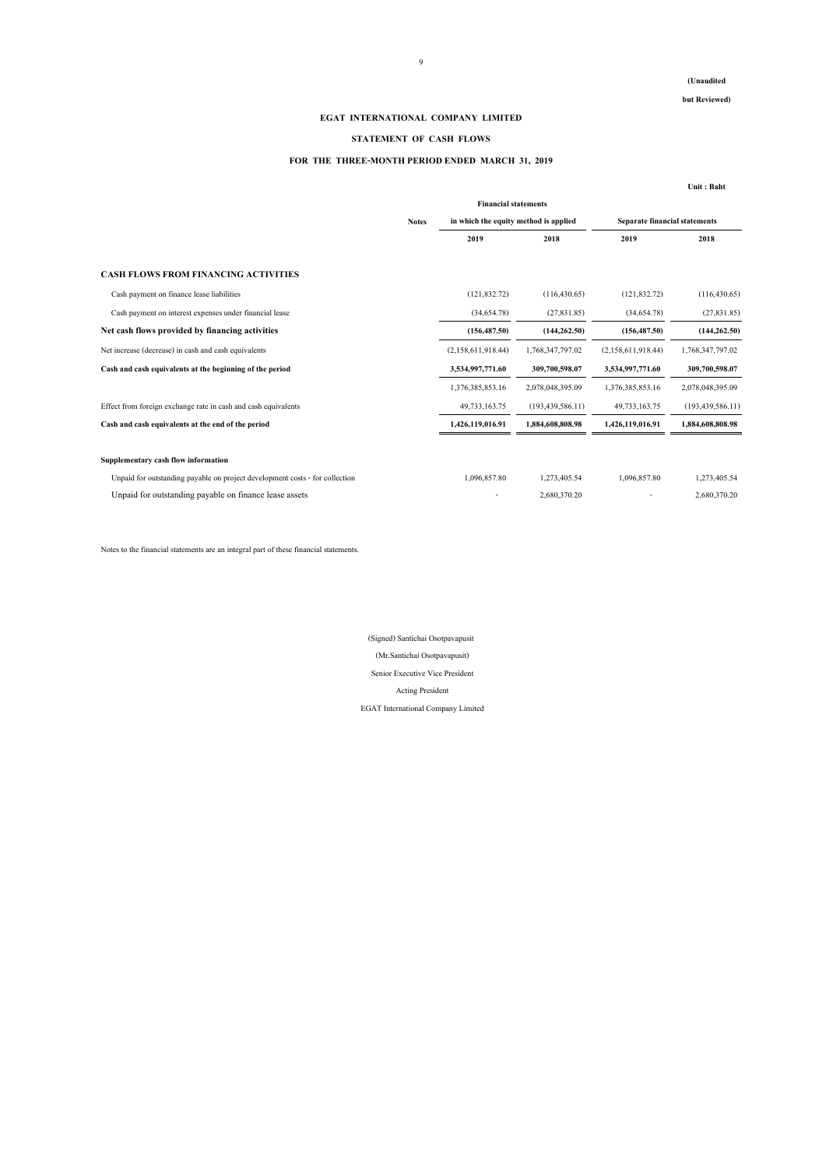**but Reviewed)**

#### **EGAT INTERNATIONAL COMPANY LIMITED**

## **STATEMENT OF CASH FLOWS**

#### **FOR THE THREE-MONTH PERIOD ENDED MARCH 31, 2019**

|                                                                              |              |                                       |                     |                               | Unit: Baht         |
|------------------------------------------------------------------------------|--------------|---------------------------------------|---------------------|-------------------------------|--------------------|
|                                                                              |              | <b>Financial statements</b>           |                     |                               |                    |
|                                                                              | <b>Notes</b> | in which the equity method is applied |                     | Separate financial statements |                    |
|                                                                              |              | 2019                                  | 2018                | 2019                          | 2018               |
| <b>CASH FLOWS FROM FINANCING ACTIVITIES</b>                                  |              |                                       |                     |                               |                    |
| Cash payment on finance lease liabilities                                    |              | (121, 832, 72)                        | (116, 430.65)       | (121, 832, 72)                | (116, 430.65)      |
| Cash payment on interest expenses under financial lease                      |              | (34,654,78)                           | (27,831.85)         | (34,654,78)                   | (27,831.85)        |
| Net cash flows provided by financing activities                              |              | (156, 487.50)                         | (144, 262, 50)      | (156, 487.50)                 | (144, 262, 50)     |
| Net increase (decrease) in cash and cash equivalents                         |              | (2,158,611,918,44)                    | 1,768,347,797.02    | (2,158,611,918,44)            | 1,768,347,797.02   |
| Cash and cash equivalents at the beginning of the period                     |              | 3,534,997,771.60                      | 309,700,598.07      | 3,534,997,771.60              | 309,700,598.07     |
|                                                                              |              | 1,376,385,853.16                      | 2,078,048,395.09    | 1,376,385,853.16              | 2,078,048,395.09   |
| Effect from foreign exchange rate in cash and cash equivalents               |              | 49,733,163.75                         | (193, 439, 586, 11) | 49,733,163.75                 | (193, 439, 586.11) |
| Cash and cash equivalents at the end of the period                           |              | 1,426,119,016.91                      | 1,884,608,808.98    | 1,426,119,016.91              | 1,884,608,808.98   |
| Supplementary cash flow information                                          |              |                                       |                     |                               |                    |
| Unpaid for outstanding payable on project development costs - for collection |              | 1,096,857.80                          | 1,273,405.54        | 1,096,857.80                  | 1,273,405.54       |
| Unpaid for outstanding payable on finance lease assets                       |              |                                       | 2,680,370.20        |                               | 2,680,370.20       |

Notes to the financial statements are an integral part of these financial statements.

(Mr.Santichai Osotpavapusit) EGAT International Company Limited Senior Executive Vice President Acting President (Signed) Santichai Osotpavapusit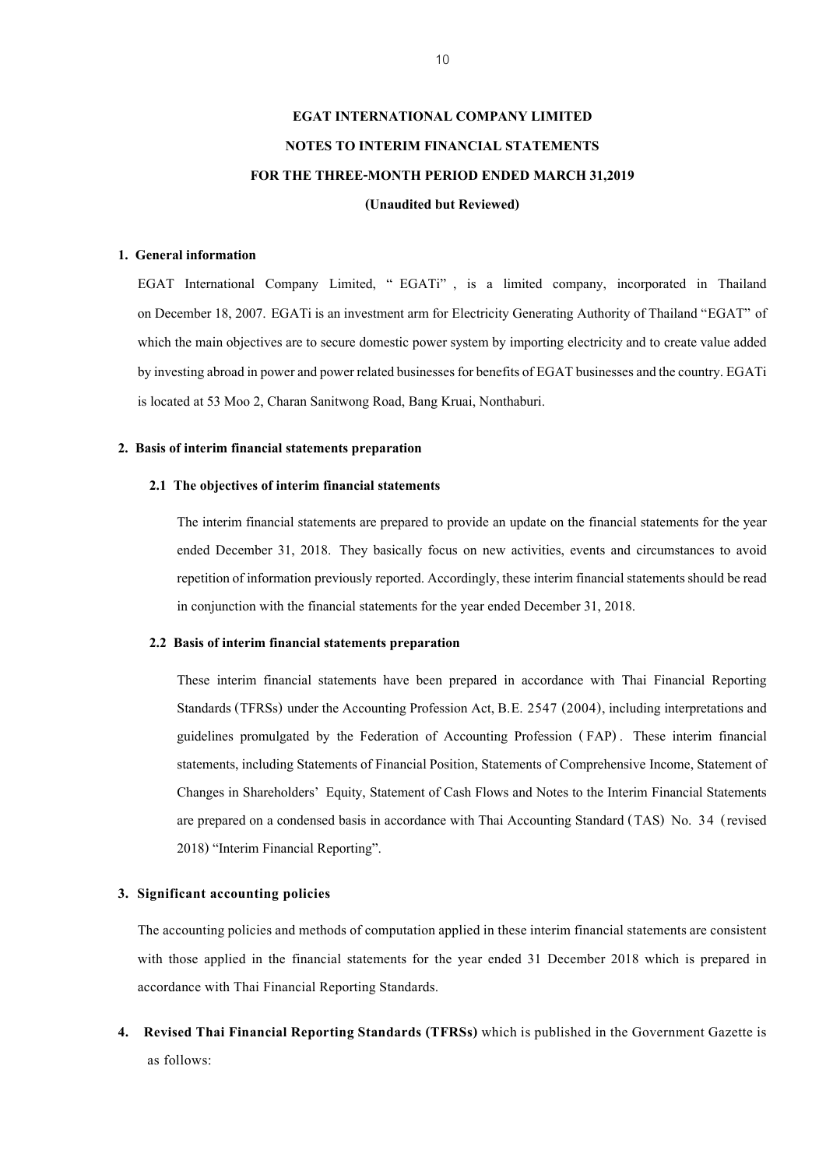# **EGAT INTERNATIONAL COMPANY LIMITED NOTES TO INTERIM FINANCIAL STATEMENTS FOR THE THREE-MONTH PERIOD ENDED MARCH 31,2019 (Unaudited but Reviewed)**

## **1. General information**

EGAT International Company Limited, " EGATi" , is a limited company, incorporated in Thailand on December 18, 2007. EGATi is an investment arm for Electricity Generating Authority of Thailand "EGAT" of which the main objectives are to secure domestic power system by importing electricity and to create value added by investing abroad in power and power related businesses for benefits of EGAT businesses and the country. EGATi is located at 53 Moo 2, Charan Sanitwong Road, Bang Kruai, Nonthaburi.

## **2. Basis of interim financial statements preparation**

#### **2.1 The objectives of interim financial statements**

The interim financial statements are prepared to provide an update on the financial statements for the year ended December 31, 2018. They basically focus on new activities, events and circumstances to avoid repetition of information previously reported. Accordingly, these interim financial statements should be read in conjunction with the financial statements for the year ended December 31, 2018.

## **2.2 Basis of interim financial statements preparation**

These interim financial statements have been prepared in accordance with Thai Financial Reporting Standards (TFRSs) under the Accounting Profession Act, B.E. 2547 (2004), including interpretations and guidelines promulgated by the Federation of Accounting Profession (FAP). These interim financial statements, including Statements of Financial Position, Statements of Comprehensive Income, Statement of Changes in Shareholders' Equity, Statement of Cash Flows and Notes to the Interim Financial Statements are prepared on a condensed basis in accordance with Thai Accounting Standard (TAS) No. 34 (revised 2018) "Interim Financial Reporting".

#### **3. Significant accounting policies**

The accounting policies and methods of computation applied in these interim financial statements are consistent with those applied in the financial statements for the year ended 31 December 2018 which is prepared in accordance with Thai Financial Reporting Standards.

**4. Revised Thai Financial Reporting Standards (TFRSs)** which is published in the Government Gazette is as follows: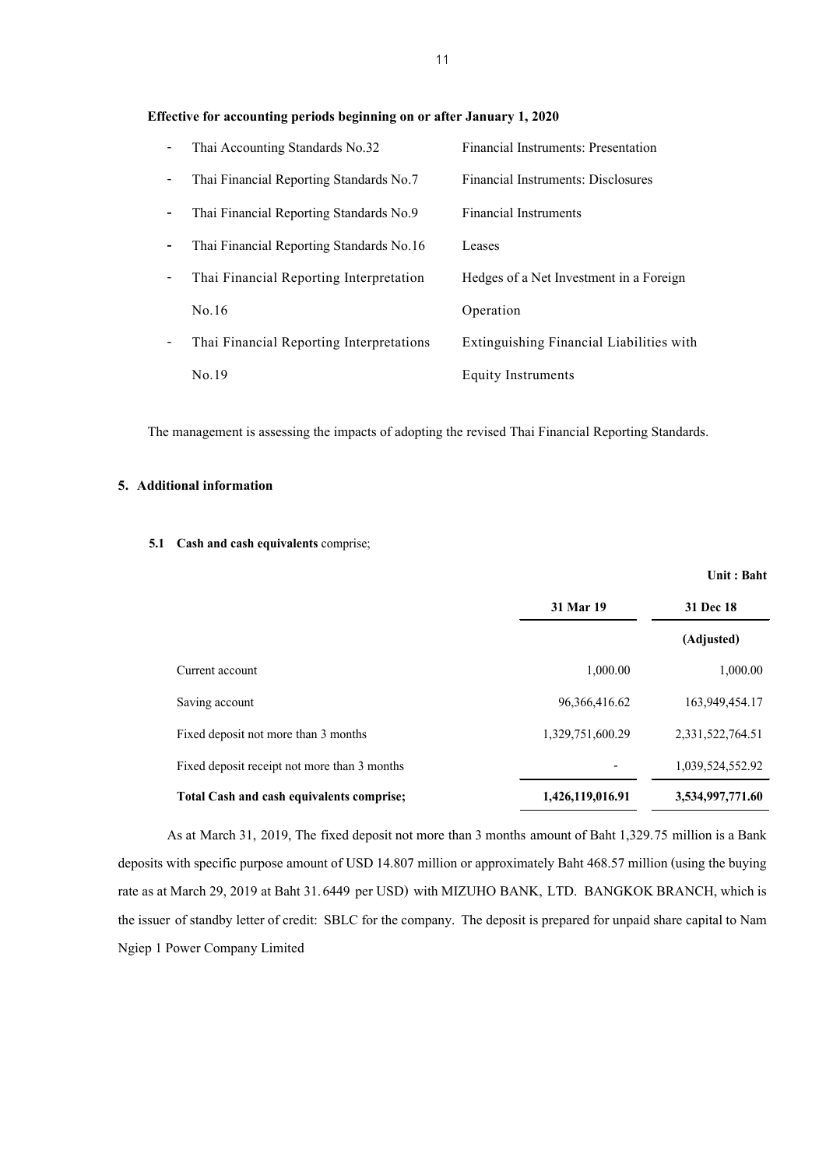#### **Effective for accounting periods beginning on or after January 1, 2020**

|                          | Thai Accounting Standards No.32          | Financial Instruments: Presentation       |
|--------------------------|------------------------------------------|-------------------------------------------|
| $\overline{\phantom{a}}$ | Thai Financial Reporting Standards No.7  | <b>Financial Instruments: Disclosures</b> |
|                          | Thai Financial Reporting Standards No.9  | <b>Financial Instruments</b>              |
| ۰                        | Thai Financial Reporting Standards No.16 | Leases                                    |
|                          | Thai Financial Reporting Interpretation  | Hedges of a Net Investment in a Foreign   |
|                          | No.16                                    | Operation                                 |
|                          | Thai Financial Reporting Interpretations | Extinguishing Financial Liabilities with  |
|                          | No.19                                    | Equity Instruments                        |

The management is assessing the impacts of adopting the revised Thai Financial Reporting Standards.

## **5. Additional information**

## **5.1 Cash and cash equivalents** comprise;

|                                              | 31 Mar 19        | 31 Dec 18        |  |
|----------------------------------------------|------------------|------------------|--|
|                                              |                  | (Adjusted)       |  |
| Current account                              | 1,000.00         | 1,000.00         |  |
| Saving account                               | 96, 366, 416, 62 | 163,949,454.17   |  |
| Fixed deposit not more than 3 months         | 1,329,751,600.29 | 2,331,522,764.51 |  |
| Fixed deposit receipt not more than 3 months |                  | 1,039,524,552.92 |  |
| Total Cash and cash equivalents comprise;    | 1,426,119,016.91 | 3,534,997,771.60 |  |

As at March 31, 2019, The fixed deposit not more than 3 months amount of Baht 1,329.75 million is a Bank deposits with specific purpose amount of USD 14.807 million or approximately Baht 468.57 million (using the buying rate as at March 29, 2019 at Baht 31.6449 per USD) with MIZUHO BANK, LTD. BANGKOK BRANCH, which is the issuer of standby letter of credit: SBLC for the company. The deposit is prepared for unpaid share capital to Nam Ngiep 1 Power Company Limited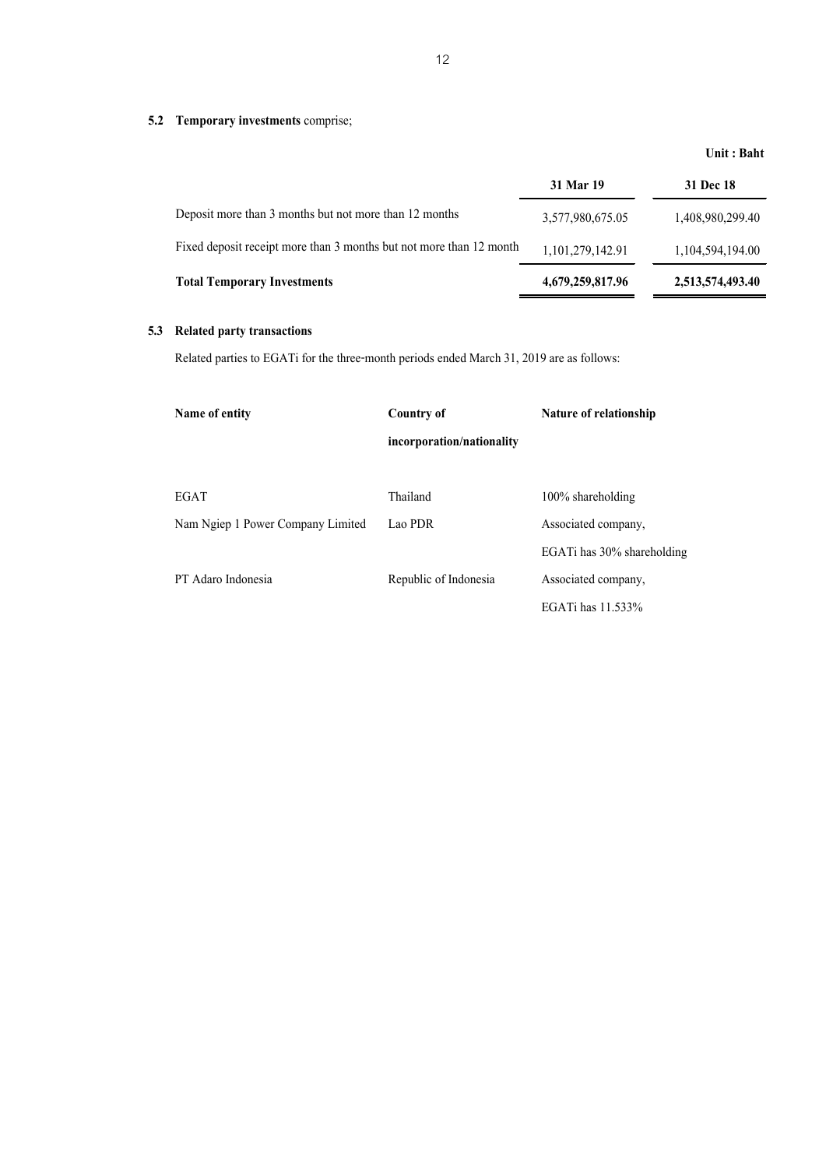## **5.2 Temporary investments** comprise;

|                                                                     | 31 Mar 19        | 31 Dec 18        |
|---------------------------------------------------------------------|------------------|------------------|
| Deposit more than 3 months but not more than 12 months              | 3,577,980,675.05 | 1,408,980,299.40 |
| Fixed deposit receipt more than 3 months but not more than 12 month | 1,101,279,142.91 | 1,104,594,194.00 |
| <b>Total Temporary Investments</b>                                  | 4,679,259,817.96 | 2,513,574,493.40 |

## **5.3 Related party transactions**

Related parties to EGATi for the three-month periods ended March 31, 2019 are as follows:

| Name of entity                    | <b>Country of</b>         | Nature of relationship     |
|-----------------------------------|---------------------------|----------------------------|
|                                   | incorporation/nationality |                            |
| EGAT                              | Thailand                  | $100\%$ shareholding       |
| Nam Ngiep 1 Power Company Limited | Lao PDR                   | Associated company,        |
|                                   |                           | EGATi has 30% shareholding |
| PT Adaro Indonesia                | Republic of Indonesia     | Associated company.        |
|                                   |                           | EGATi has 11.533%          |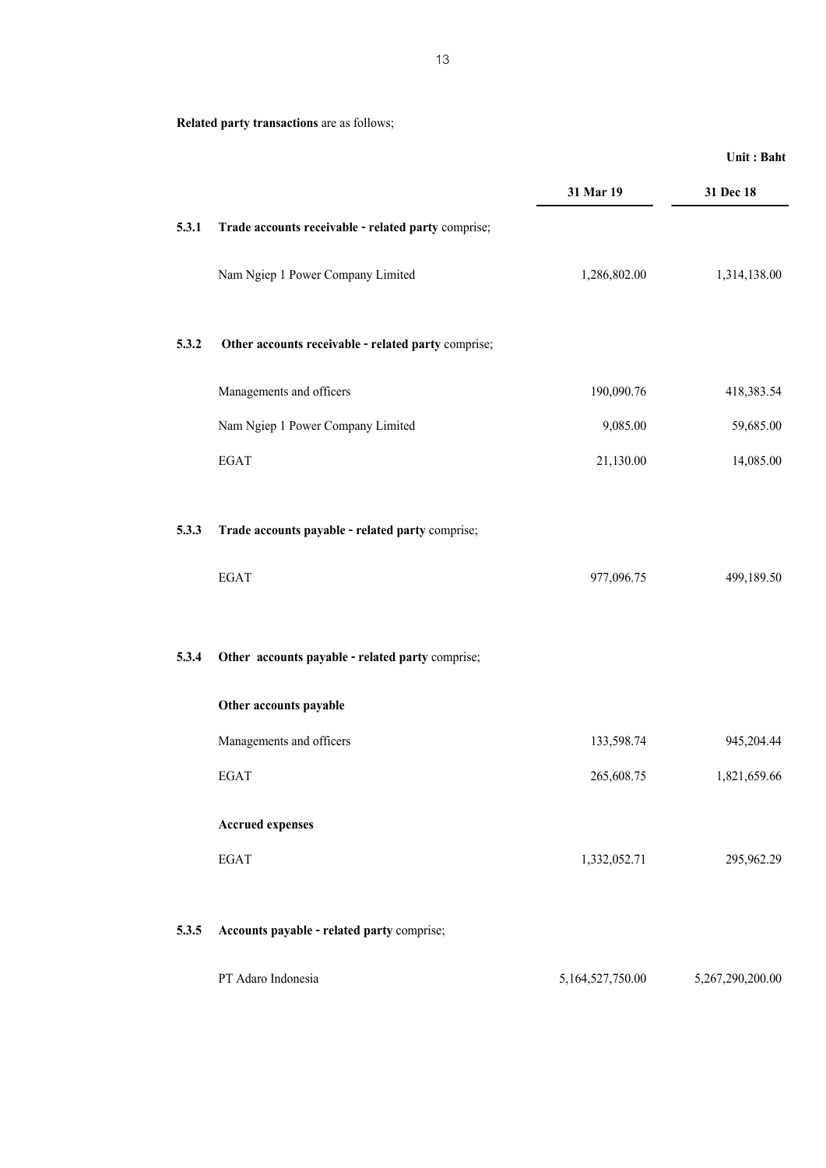**Related party transactions** are as follows;

|       |                                                     |                  | Unit: Baht       |
|-------|-----------------------------------------------------|------------------|------------------|
|       |                                                     | 31 Mar 19        | 31 Dec 18        |
| 5.3.1 | Trade accounts receivable - related party comprise; |                  |                  |
|       | Nam Ngiep 1 Power Company Limited                   | 1,286,802.00     | 1,314,138.00     |
| 5.3.2 | Other accounts receivable - related party comprise; |                  |                  |
|       | Managements and officers                            | 190,090.76       | 418,383.54       |
|       | Nam Ngiep 1 Power Company Limited                   | 9,085.00         | 59,685.00        |
|       | <b>EGAT</b>                                         | 21,130.00        | 14,085.00        |
| 5.3.3 | Trade accounts payable - related party comprise;    |                  |                  |
|       | <b>EGAT</b>                                         | 977,096.75       | 499,189.50       |
| 5.3.4 | Other accounts payable - related party comprise;    |                  |                  |
|       | Other accounts payable                              |                  |                  |
|       | Managements and officers                            | 133,598.74       | 945,204.44       |
|       | <b>EGAT</b>                                         | 265,608.75       | 1,821,659.66     |
|       | <b>Accrued expenses</b>                             |                  |                  |
|       | <b>EGAT</b>                                         | 1,332,052.71     | 295,962.29       |
| 5.3.5 | Accounts payable - related party comprise;          |                  |                  |
|       | PT Adaro Indonesia                                  | 5,164,527,750.00 | 5,267,290,200.00 |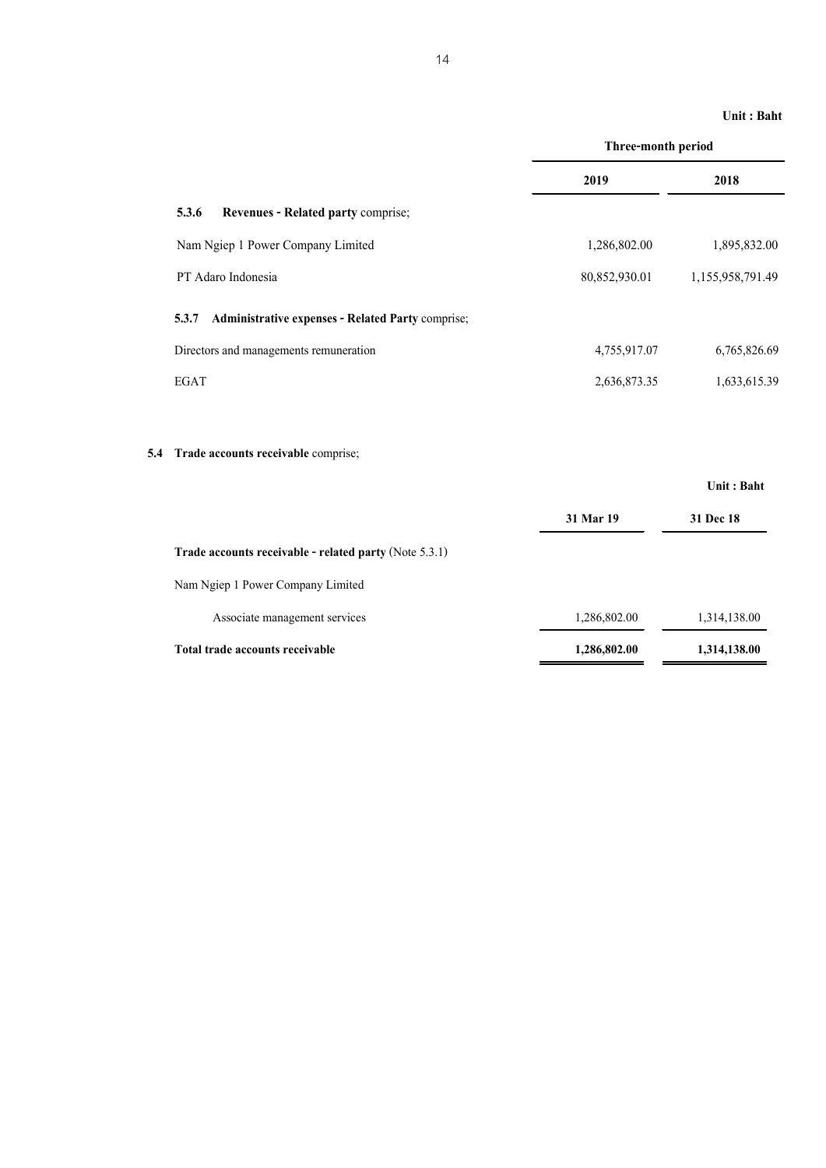|                                                            | Three-month period |                  |  |  |
|------------------------------------------------------------|--------------------|------------------|--|--|
|                                                            | 2019               | 2018             |  |  |
| 5.3.6<br>Revenues - Related party comprise;                |                    |                  |  |  |
| Nam Ngiep 1 Power Company Limited                          | 1,286,802.00       | 1,895,832.00     |  |  |
| PT Adaro Indonesia                                         | 80,852,930.01      | 1,155,958,791.49 |  |  |
| 5.3.7<br>Administrative expenses - Related Party comprise; |                    |                  |  |  |
| Directors and managements remuneration                     | 4,755,917.07       | 6,765,826.69     |  |  |
| <b>EGAT</b>                                                | 2,636,873.35       | 1,633,615.39     |  |  |
|                                                            |                    |                  |  |  |
| Trade accounts receivable comprise;<br>5.4                 |                    |                  |  |  |
|                                                            |                    | Unit: Baht       |  |  |
|                                                            | 31 Mar 19          | 31 Dec 18        |  |  |
| Trade accounts receivable - related party (Note 5.3.1)     |                    |                  |  |  |
| Nam Ngiep 1 Power Company Limited                          |                    |                  |  |  |
| Associate management services                              | 1,286,802.00       | 1,314,138.00     |  |  |
| Total trade accounts receivable                            | 1,286,802.00       | 1,314,138.00     |  |  |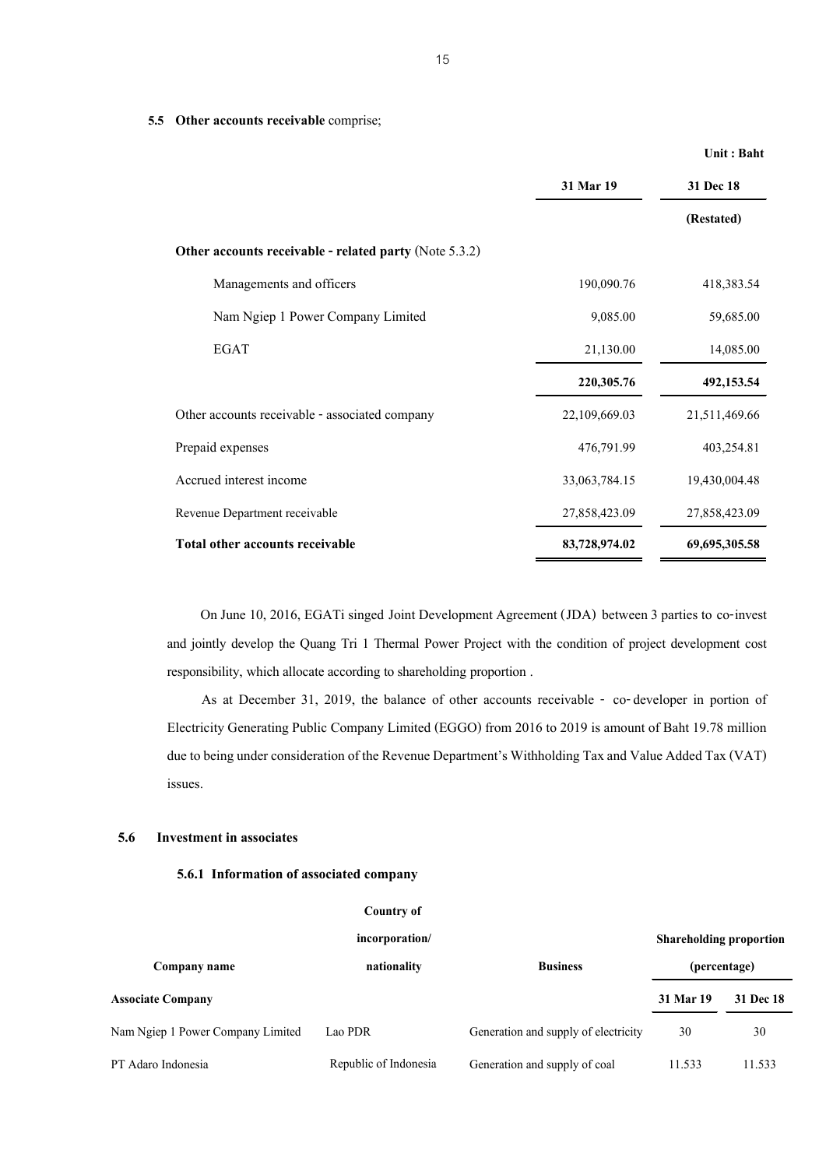|                                                        | 31 Mar 19     | 31 Dec 18     |
|--------------------------------------------------------|---------------|---------------|
|                                                        |               | (Restated)    |
| Other accounts receivable - related party (Note 5.3.2) |               |               |
| Managements and officers                               | 190,090.76    | 418,383.54    |
| Nam Ngiep 1 Power Company Limited                      | 9,085.00      | 59,685.00     |
| <b>EGAT</b>                                            | 21,130.00     | 14,085.00     |
|                                                        | 220,305.76    | 492,153.54    |
| Other accounts receivable - associated company         | 22,109,669.03 | 21,511,469.66 |
| Prepaid expenses                                       | 476,791.99    | 403,254.81    |
| Accrued interest income                                | 33,063,784.15 | 19,430,004.48 |
| Revenue Department receivable                          | 27,858,423.09 | 27,858,423.09 |
| Total other accounts receivable                        | 83,728,974.02 | 69,695,305.58 |

On June 10, 2016, EGATi singed Joint Development Agreement (JDA) between 3 parties to co-invest and jointly develop the Quang Tri 1 Thermal Power Project with the condition of project development cost responsibility, which allocate according to shareholding proportion .

As at December 31, 2019, the balance of other accounts receivable - co-developer in portion of Electricity Generating Public Company Limited (EGGO) from 2016 to 2019 is amount of Baht 19.78 million due to being under consideration of the Revenue Department's Withholding Tax and Value Added Tax (VAT) issues.

#### **5.6 Investment in associates**

## **5.6.1 Information of associated company**

**5.5 Other accounts receivable** comprise;

| Country of                        |                       |                                      |                                |              |
|-----------------------------------|-----------------------|--------------------------------------|--------------------------------|--------------|
|                                   | incorporation/        |                                      | <b>Shareholding proportion</b> |              |
| Company name                      | nationality           | <b>Business</b>                      |                                | (percentage) |
| <b>Associate Company</b>          |                       |                                      | 31 Mar 19                      | 31 Dec 18    |
| Nam Ngiep 1 Power Company Limited | Lao PDR               | Generation and supply of electricity | 30                             | 30           |
| PT Adaro Indonesia                | Republic of Indonesia | Generation and supply of coal        | 11.533                         | 11.533       |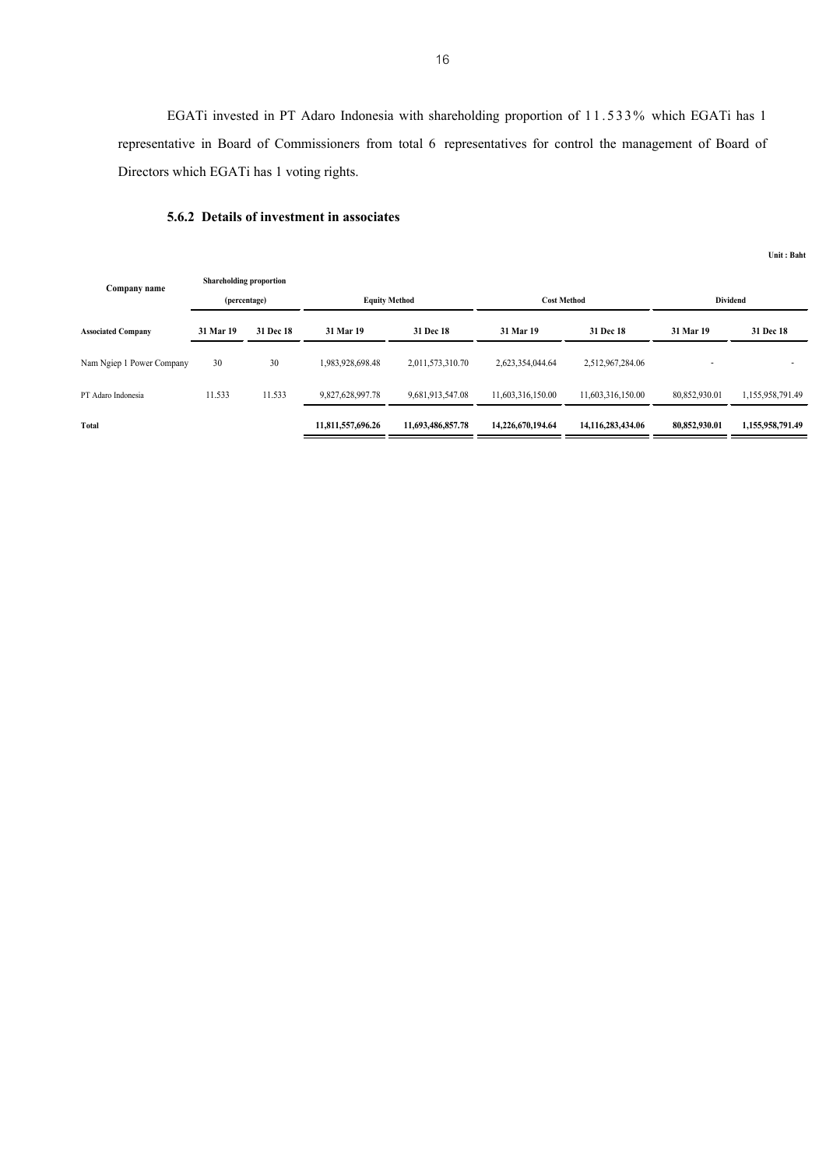EGATi invested in PT Adaro Indonesia with shareholding proportion of 11.533% which EGATi has 1 representative in Board of Commissioners from total 6 representatives for control the management of Board of Directors which EGATi has 1 voting rights.

## **5.6.2 Details of investment in associates**

| Company name              | Shareholding proportion |           |                      |                   |                    |                   |                 |                  |
|---------------------------|-------------------------|-----------|----------------------|-------------------|--------------------|-------------------|-----------------|------------------|
|                           | (percentage)            |           | <b>Equity Method</b> |                   | <b>Cost Method</b> |                   | <b>Dividend</b> |                  |
| <b>Associated Company</b> | 31 Mar 19               | 31 Dec 18 | 31 Mar 19            | 31 Dec 18         | 31 Mar 19          | 31 Dec 18         | 31 Mar 19       | 31 Dec 18        |
| Nam Ngiep 1 Power Company | 30                      | 30        | 1,983,928,698.48     | 2,011,573,310.70  | 2,623,354,044.64   | 2,512,967,284.06  |                 |                  |
| PT Adaro Indonesia        | 11.533                  | 11.533    | 9,827,628,997.78     | 9,681,913,547.08  | 11,603,316,150.00  | 11,603,316,150.00 | 80,852,930.01   | 1,155,958,791.49 |
| Total                     |                         |           | 11,811,557,696.26    | 11,693,486,857.78 | 14,226,670,194,64  | 14,116,283,434.06 | 80,852,930.01   | 1,155,958,791.49 |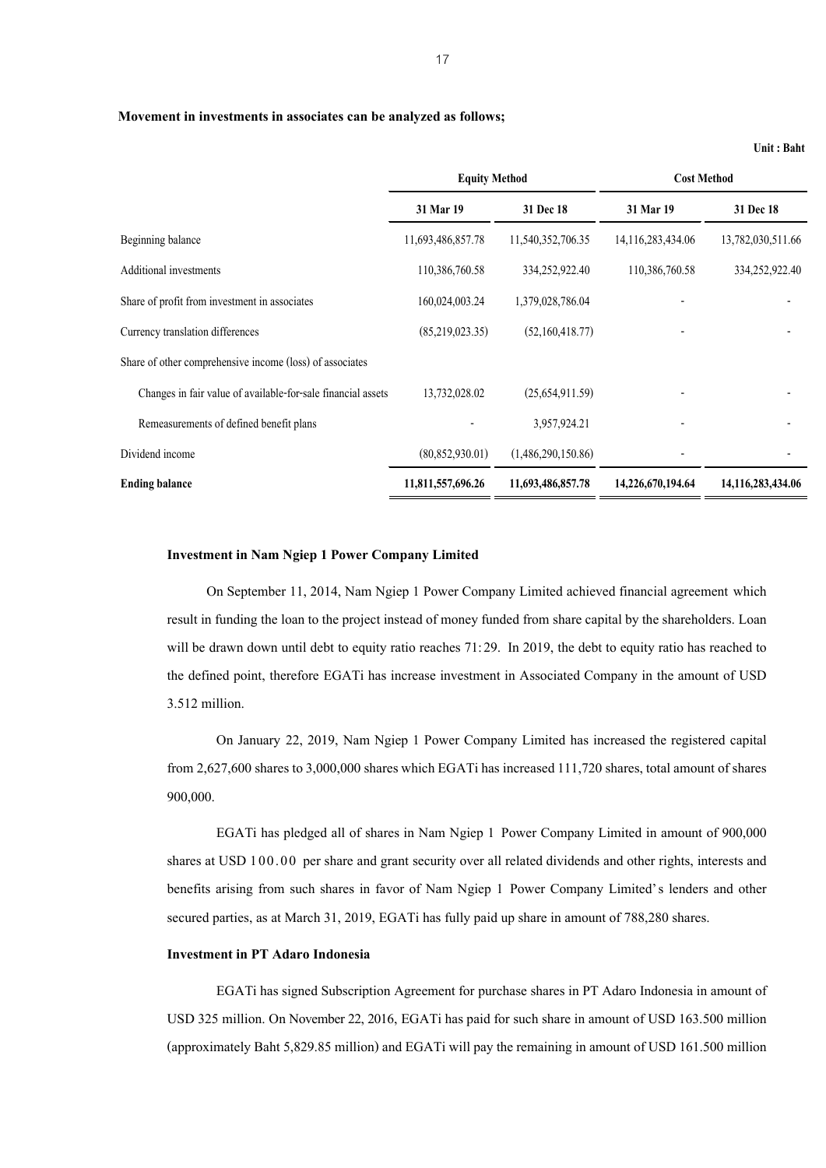#### **Movement in investments in associates can be analyzed as follows;**

|                                                              | <b>Equity Method</b> |                    | <b>Cost Method</b> |                       |
|--------------------------------------------------------------|----------------------|--------------------|--------------------|-----------------------|
|                                                              | 31 Mar 19            | 31 Dec 18          | 31 Mar 19          | 31 Dec 18             |
| Beginning balance                                            | 11,693,486,857.78    | 11,540,352,706.35  | 14,116,283,434.06  | 13,782,030,511.66     |
| <b>Additional investments</b>                                | 110,386,760.58       | 334,252,922.40     | 110,386,760.58     | 334,252,922.40        |
| Share of profit from investment in associates                | 160,024,003.24       | 1,379,028,786.04   |                    |                       |
| Currency translation differences                             | (85,219,023.35)      | (52,160,418.77)    |                    |                       |
| Share of other comprehensive income (loss) of associates     |                      |                    |                    |                       |
| Changes in fair value of available-for-sale financial assets | 13,732,028.02        | (25,654,911.59)    |                    |                       |
| Remeasurements of defined benefit plans                      |                      | 3,957,924.21       |                    |                       |
| Dividend income                                              | (80, 852, 930.01)    | (1,486,290,150.86) |                    |                       |
| <b>Ending balance</b>                                        | 11,811,557,696.26    | 11,693,486,857.78  | 14,226,670,194.64  | 14, 116, 283, 434. 06 |

#### **Investment in Nam Ngiep 1 Power Company Limited**

On September 11, 2014, Nam Ngiep 1 Power Company Limited achieved financial agreement which result in funding the loan to the project instead of money funded from share capital by the shareholders. Loan will be drawn down until debt to equity ratio reaches 71:29. In 2019, the debt to equity ratio has reached to the defined point, therefore EGATi has increase investment in Associated Company in the amount of USD 3.512 million.

On January 22, 2019, Nam Ngiep 1 Power Company Limited has increased the registered capital from 2,627,600 shares to 3,000,000 shares which EGATi has increased 111,720 shares, total amount of shares 900,000.

EGATi has pledged all of shares in Nam Ngiep 1 Power Company Limited in amount of 900,000 shares at USD 100.00 per share and grant security over all related dividends and other rights, interests and benefits arising from such shares in favor of Nam Ngiep 1 Power Company Limited's lenders and other secured parties, as at March 31, 2019, EGATi has fully paid up share in amount of 788,280 shares.

## **Investment in PT Adaro Indonesia**

EGATi has signed Subscription Agreement for purchase shares in PT Adaro Indonesia in amount of USD 325 million. On November 22,2016, EGATi has paid for such share in amount of USD 163.500 million (approximately Baht 5,829.85 million) and EGATi will pay the remaining in amount of USD 161.500 million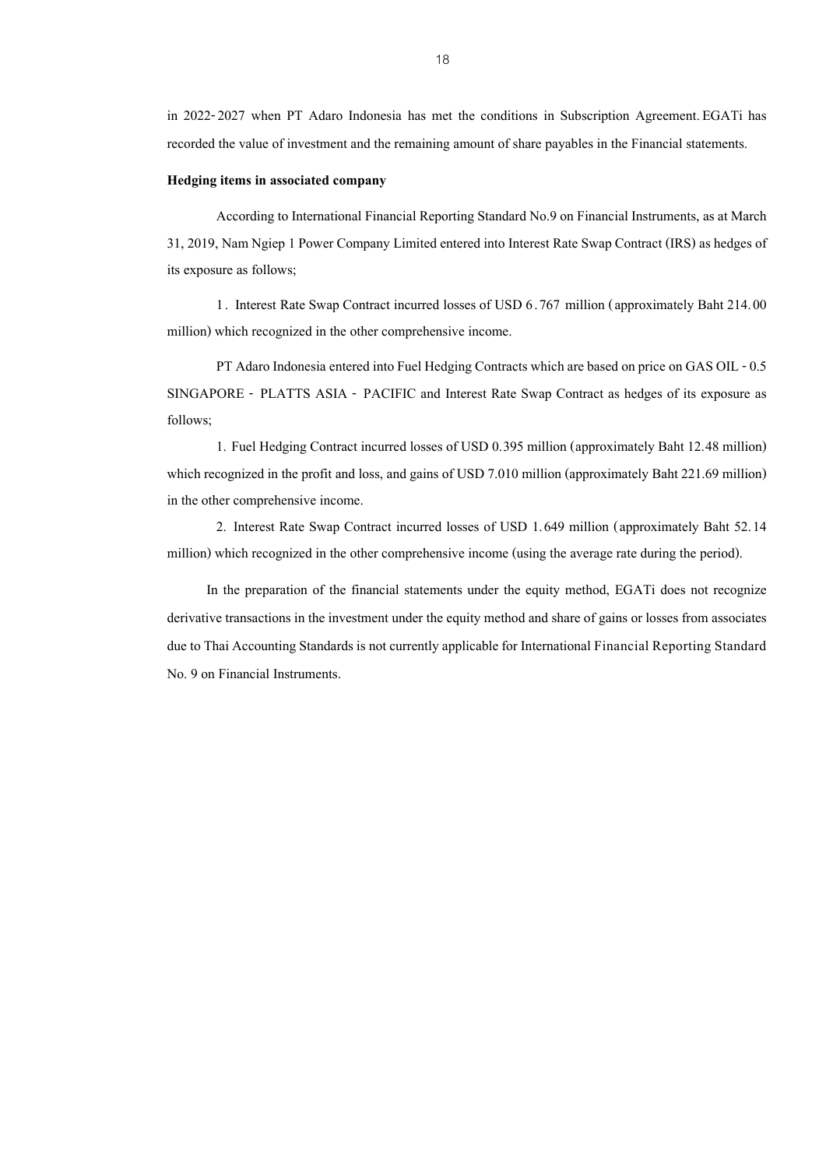in 2022-2027 when PT Adaro Indonesia has met the conditions in Subscription Agreement. EGATi has recorded the value of investment and the remaining amount of share payables in the Financial statements.

#### **Hedging items in associated company**

According to International Financial Reporting Standard No.9 on Financial Instruments, as at March 31, 2019, Nam Ngiep 1 Power Company Limited entered into Interest Rate Swap Contract (IRS) as hedges of its exposure as follows;

1. Interest Rate Swap Contract incurred losses of USD 6.767 million (approximately Baht 214.00 million) which recognized in the other comprehensive income.

PT Adaro Indonesia entered into Fuel Hedging Contracts which are based on price on GAS OIL - 0.5 SINGAPORE - PLATTS ASIA - PACIFIC and Interest Rate Swap Contract as hedges of its exposure as follows;

1. Fuel Hedging Contract incurred losses of USD 0.395 million (approximately Baht 12.48 million) which recognized in the profit and loss, and gains of USD 7.010 million (approximately Baht 221.69 million) in the other comprehensive income.

2. Interest Rate Swap Contract incurred losses of USD 1.649 million (approximately Baht 52.14 million) which recognized in the other comprehensive income (using the average rate during the period).

In the preparation of the financial statements under the equity method, EGATi does not recognize derivative transactions in the investment under the equity method and share of gains or losses from associates due to Thai Accounting Standards is not currently applicable for International Financial Reporting Standard No. 9 on Financial Instruments.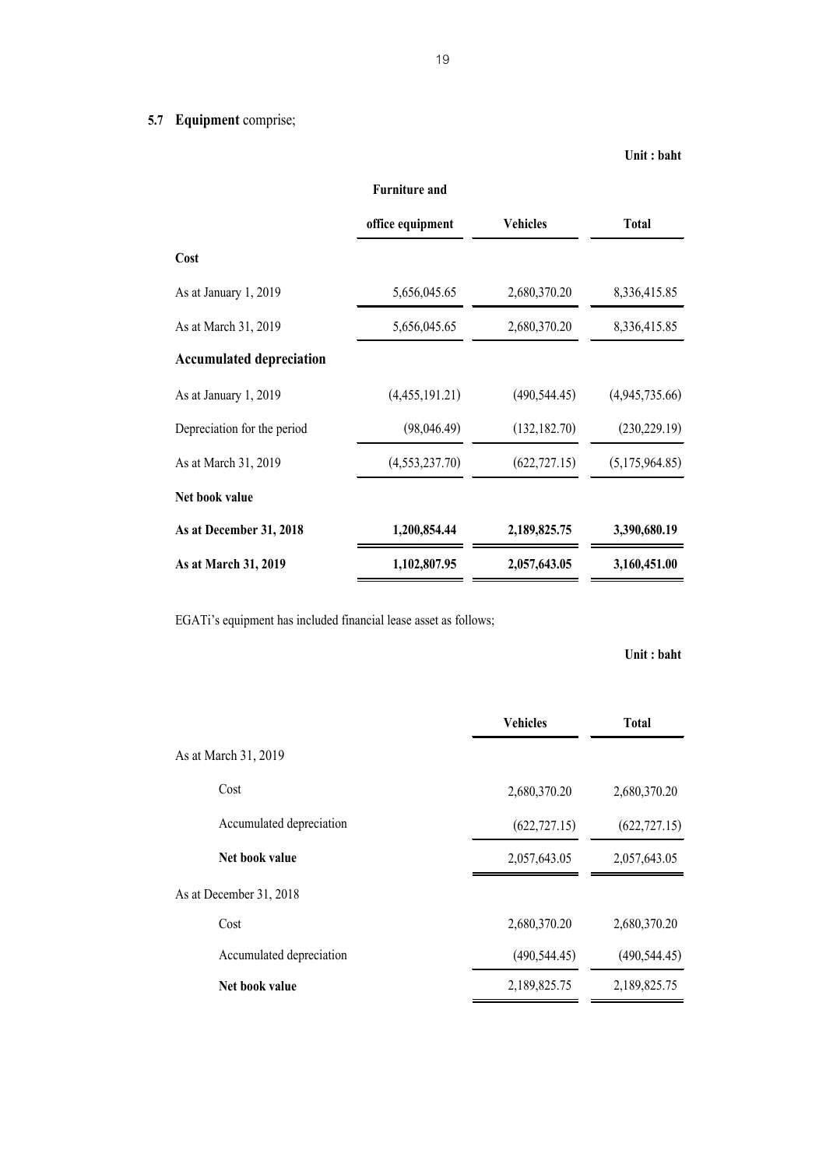# **5.7 Equipment** comprise;

## **Unit : baht**

|                                 | <b>Furniture and</b> |                 |                |
|---------------------------------|----------------------|-----------------|----------------|
|                                 | office equipment     | <b>Vehicles</b> | Total          |
| Cost                            |                      |                 |                |
| As at January 1, 2019           | 5,656,045.65         | 2,680,370.20    | 8,336,415.85   |
| As at March 31, 2019            | 5,656,045.65         | 2,680,370.20    | 8,336,415.85   |
| <b>Accumulated depreciation</b> |                      |                 |                |
| As at January 1, 2019           | (4,455,191.21)       | (490, 544.45)   | (4,945,735.66) |
| Depreciation for the period     | (98,046.49)          | (132, 182.70)   | (230, 229.19)  |
| As at March 31, 2019            | (4,553,237.70)       | (622, 727.15)   | (5,175,964.85) |
| Net book value                  |                      |                 |                |
| As at December 31, 2018         | 1,200,854.44         | 2,189,825.75    | 3,390,680.19   |
| As at March 31, 2019            | 1,102,807.95         | 2,057,643.05    | 3,160,451.00   |

EGATi's equipment has included financial lease asset as follows;

|                          | <b>Vehicles</b> | <b>Total</b>  |
|--------------------------|-----------------|---------------|
| As at March 31, 2019     |                 |               |
| Cost                     | 2,680,370.20    | 2,680,370.20  |
| Accumulated depreciation | (622, 727.15)   | (622, 727.15) |
| Net book value           | 2,057,643.05    | 2,057,643.05  |
| As at December 31, 2018  |                 |               |
| Cost                     | 2,680,370.20    | 2,680,370.20  |
| Accumulated depreciation | (490, 544.45)   | (490, 544.45) |
| Net book value           | 2,189,825.75    | 2,189,825.75  |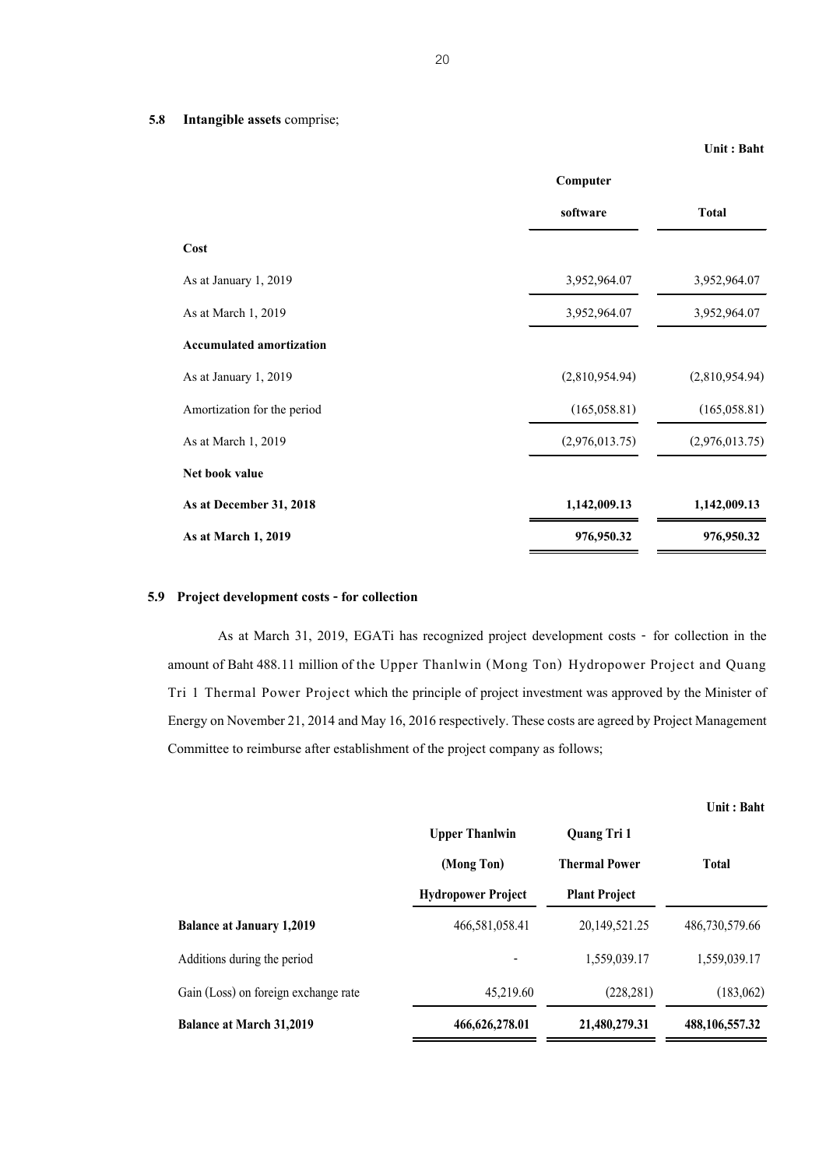### **Unit : Baht**

|                                 | Computer       |                |  |
|---------------------------------|----------------|----------------|--|
|                                 | software       | <b>Total</b>   |  |
| Cost                            |                |                |  |
| As at January 1, 2019           | 3,952,964.07   | 3,952,964.07   |  |
| As at March 1, 2019             | 3,952,964.07   | 3,952,964.07   |  |
| <b>Accumulated amortization</b> |                |                |  |
| As at January 1, 2019           | (2,810,954.94) | (2,810,954.94) |  |
| Amortization for the period     | (165, 058.81)  | (165, 058.81)  |  |
| As at March 1, 2019             | (2,976,013.75) | (2,976,013.75) |  |
| Net book value                  |                |                |  |
| As at December 31, 2018         | 1,142,009.13   | 1,142,009.13   |  |
| As at March 1, 2019             | 976,950.32     | 976,950.32     |  |

## **5.9 Project development costs - for collection**

As at March 31, 2019, EGATi has recognized project development costs - for collection in the amount of Baht 488.11 million of the Upper Thanlwin (Mong Ton) Hydropower Project and Quang Tri 1 Thermal Power Project which the principle of project investment was approved by the Minister of Energy on November 21, 2014 and May 16, 2016 respectively. These costs are agreed by Project Management Committee to reimburse after establishment of the project company as follows;

|                                      | <b>Upper Thanlwin</b>     | Quang Tri 1          |                   |  |
|--------------------------------------|---------------------------|----------------------|-------------------|--|
|                                      | (Mong Ton)                | <b>Thermal Power</b> | <b>Total</b>      |  |
|                                      | <b>Hydropower Project</b> | <b>Plant Project</b> |                   |  |
| <b>Balance at January 1,2019</b>     | 466,581,058.41            | 20,149,521.25        | 486,730,579.66    |  |
| Additions during the period          |                           | 1,559,039.17         | 1,559,039.17      |  |
| Gain (Loss) on foreign exchange rate | 45,219.60                 | (228, 281)           | (183,062)         |  |
| <b>Balance at March 31,2019</b>      | 466, 626, 278.01          | 21,480,279.31        | 488, 106, 557. 32 |  |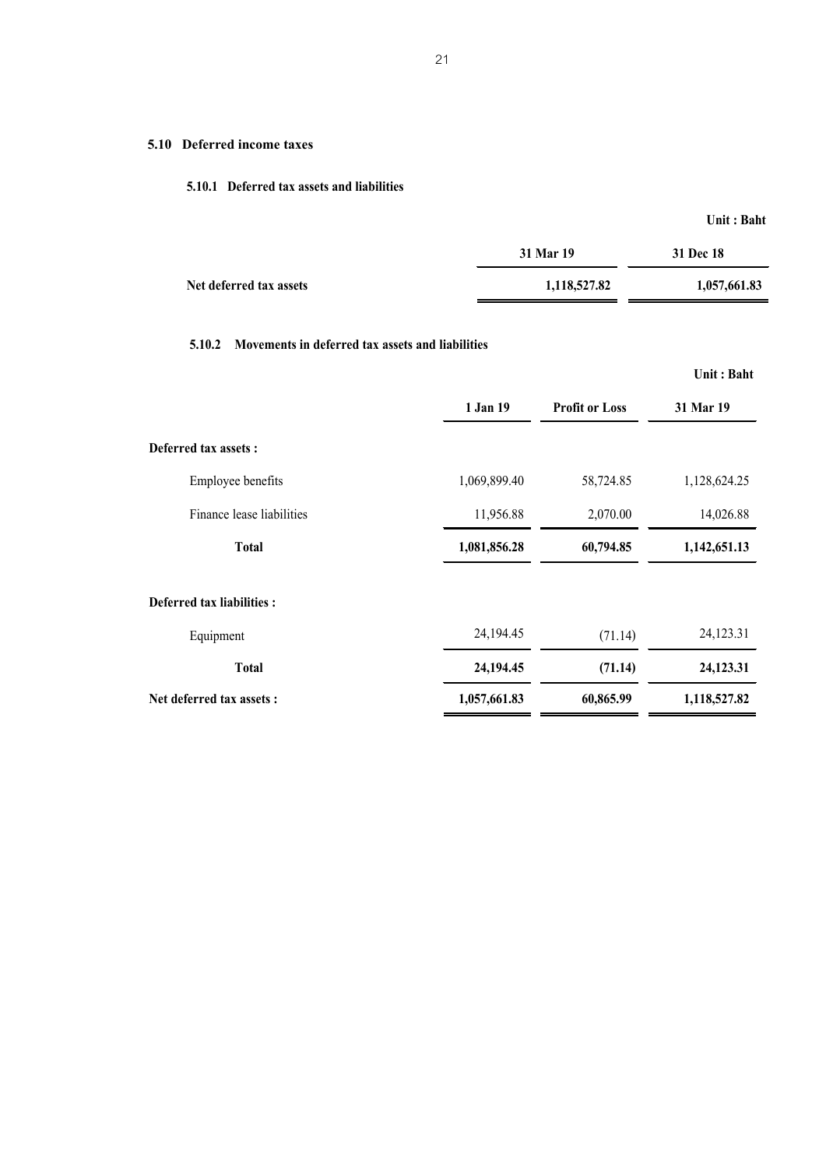## **5.10 Deferred income taxes**

## **5.10.1 Deferred tax assets and liabilities**

**Unit : Baht**

|                         | 31 Mar 19    | 31 Dec 18    |
|-------------------------|--------------|--------------|
| Net deferred tax assets | 1,118,527.82 | 1,057,661.83 |

## **5.10.2 Movements in deferred tax assets and liabilities**

|                            |              |                       | Unit: Baht   |
|----------------------------|--------------|-----------------------|--------------|
|                            | 1 Jan 19     | <b>Profit or Loss</b> | 31 Mar 19    |
| Deferred tax assets :      |              |                       |              |
| Employee benefits          | 1,069,899.40 | 58,724.85             | 1,128,624.25 |
| Finance lease liabilities  | 11,956.88    | 2,070.00              | 14,026.88    |
| <b>Total</b>               | 1,081,856.28 | 60,794.85             | 1,142,651.13 |
| Deferred tax liabilities : |              |                       |              |
| Equipment                  | 24,194.45    | (71.14)               | 24,123.31    |
| <b>Total</b>               | 24,194.45    | (71.14)               | 24,123.31    |
| Net deferred tax assets :  | 1,057,661.83 | 60,865.99             | 1,118,527.82 |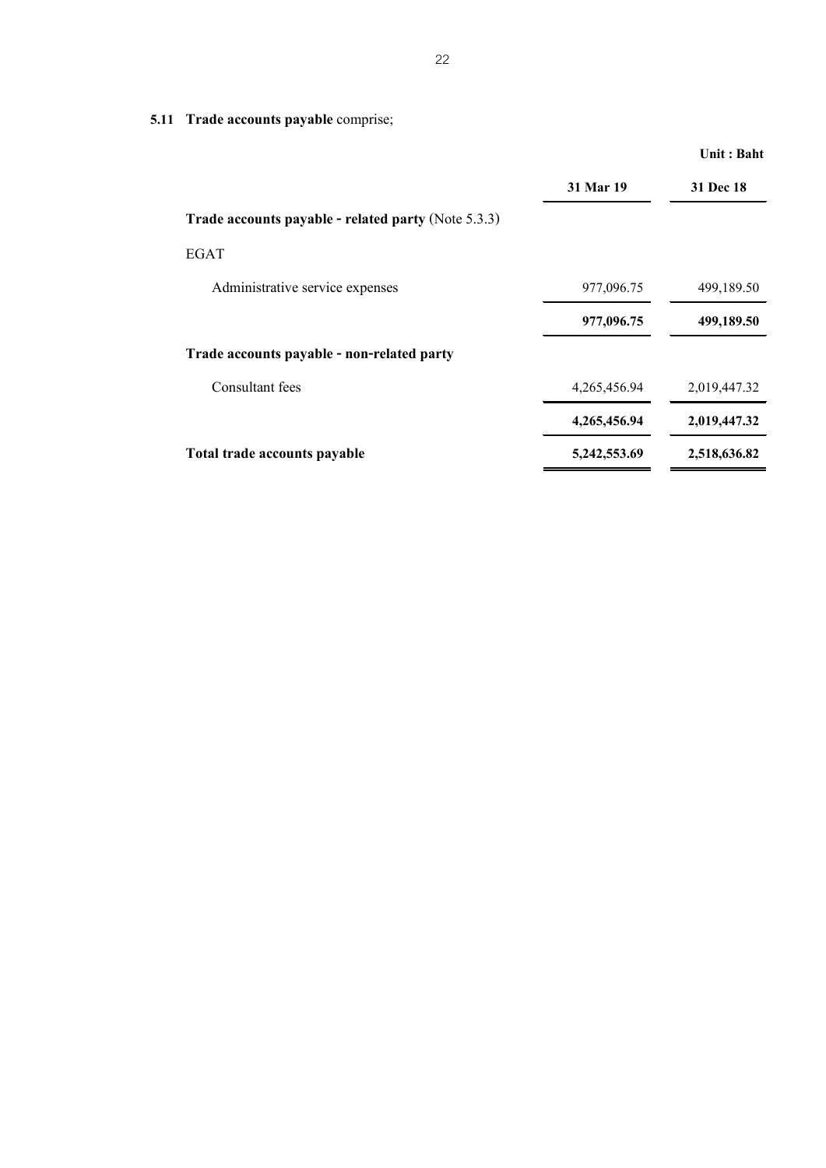|                                                            |              | Unit: Baht       |
|------------------------------------------------------------|--------------|------------------|
|                                                            | 31 Mar 19    | <b>31 Dec 18</b> |
| <b>Trade accounts payable - related party (Note 5.3.3)</b> |              |                  |
| <b>EGAT</b>                                                |              |                  |
| Administrative service expenses                            | 977,096.75   | 499,189.50       |
|                                                            | 977,096.75   | 499,189.50       |
| Trade accounts payable - non-related party                 |              |                  |
| Consultant fees                                            | 4,265,456.94 | 2,019,447.32     |
|                                                            | 4,265,456.94 | 2,019,447.32     |
| Total trade accounts payable                               | 5,242,553.69 | 2,518,636.82     |

**5.11 Trade accounts payable** comprise;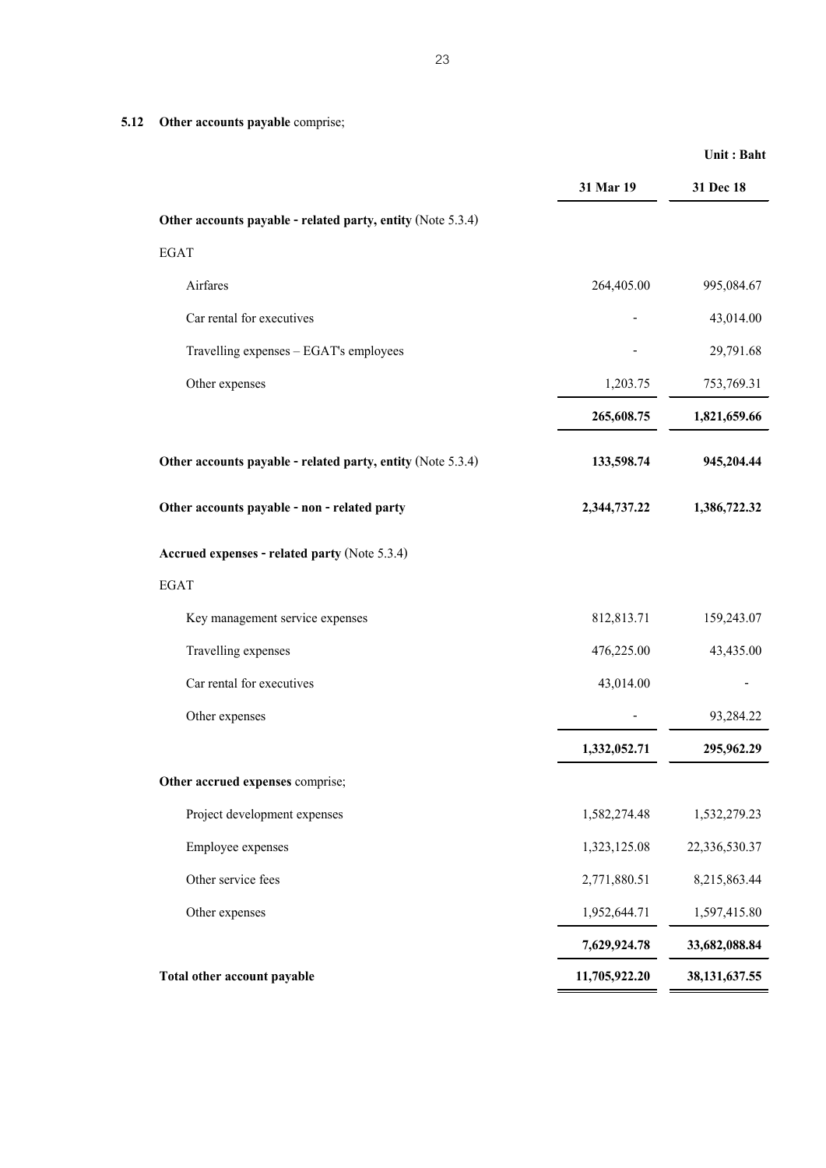**5.12 Other accounts payable** comprise;

|                                                             | 31 Mar 19     | 31 Dec 18        |
|-------------------------------------------------------------|---------------|------------------|
| Other accounts payable - related party, entity (Note 5.3.4) |               |                  |
| <b>EGAT</b>                                                 |               |                  |
| Airfares                                                    | 264,405.00    | 995,084.67       |
| Car rental for executives                                   |               | 43,014.00        |
| Travelling expenses - EGAT's employees                      |               | 29,791.68        |
| Other expenses                                              | 1,203.75      | 753,769.31       |
|                                                             | 265,608.75    | 1,821,659.66     |
| Other accounts payable - related party, entity (Note 5.3.4) | 133,598.74    | 945,204.44       |
| Other accounts payable - non - related party                | 2,344,737.22  | 1,386,722.32     |
| Accrued expenses - related party (Note 5.3.4)               |               |                  |
| <b>EGAT</b>                                                 |               |                  |
| Key management service expenses                             | 812,813.71    | 159,243.07       |
| Travelling expenses                                         | 476,225.00    | 43,435.00        |
| Car rental for executives                                   | 43,014.00     |                  |
| Other expenses                                              |               | 93,284.22        |
|                                                             | 1,332,052.71  | 295,962.29       |
| Other accrued expenses comprise;                            |               |                  |
| Project development expenses                                | 1,582,274.48  | 1,532,279.23     |
| Employee expenses                                           | 1,323,125.08  | 22,336,530.37    |
| Other service fees                                          | 2,771,880.51  | 8,215,863.44     |
| Other expenses                                              | 1,952,644.71  | 1,597,415.80     |
|                                                             | 7,629,924.78  | 33,682,088.84    |
| Total other account payable                                 | 11,705,922.20 | 38, 131, 637. 55 |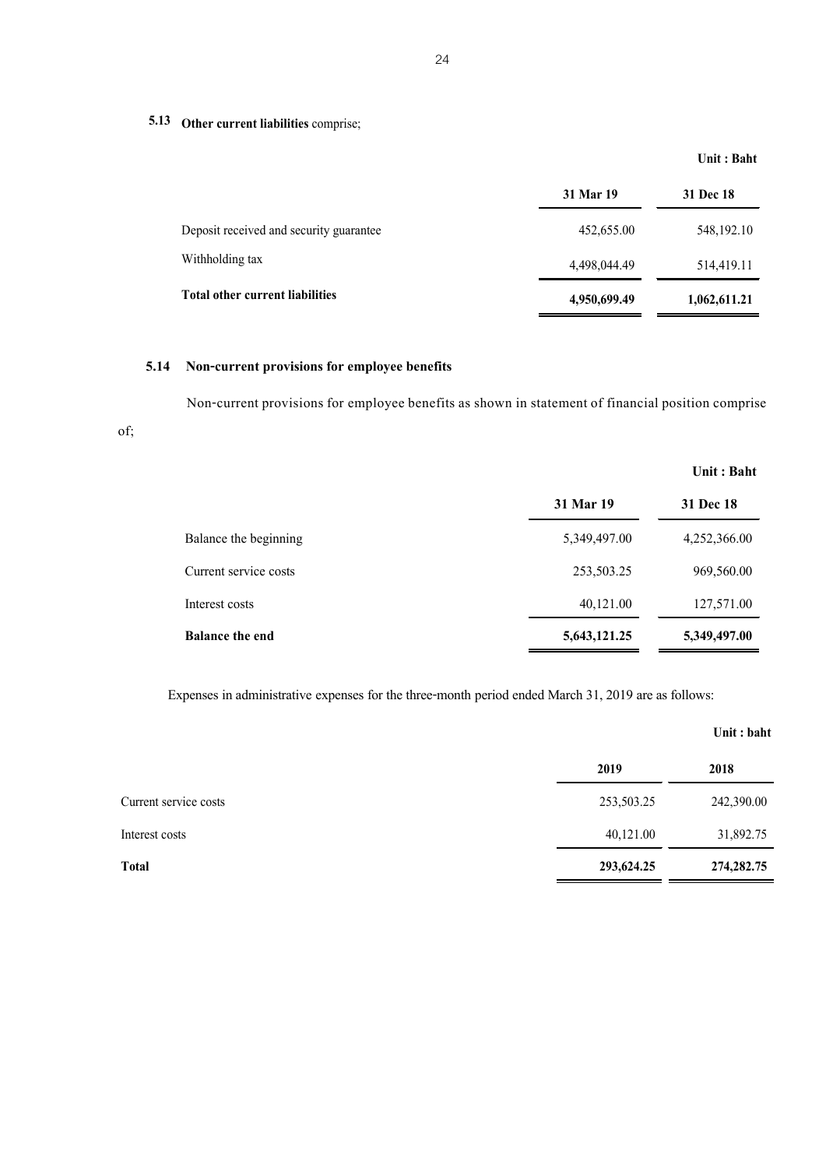**5.13 Other current liabilities** comprise;

## **Unit : Baht**

|                                         | 31 Mar 19    | <b>31 Dec 18</b> |
|-----------------------------------------|--------------|------------------|
| Deposit received and security guarantee | 452,655.00   | 548, 192. 10     |
| Withholding tax                         | 4,498,044.49 | 514,419.11       |
| <b>Total other current liabilities</b>  | 4,950,699.49 | 1,062,611.21     |

## **5.14 Non-current provisions for employee benefits**

of;

Non-current provisions for employee benefits as shown in statement of financial position comprise

|                        |              | Unit : Baht  |
|------------------------|--------------|--------------|
|                        | 31 Mar 19    | 31 Dec 18    |
| Balance the beginning  | 5,349,497.00 | 4,252,366.00 |
| Current service costs  | 253,503.25   | 969,560.00   |
| Interest costs         | 40,121.00    | 127,571.00   |
| <b>Balance the end</b> | 5,643,121.25 | 5,349,497.00 |

Expenses in administrative expenses for the three-month period ended March 31, 2019 are as follows:

|                       |            | Unit: baht   |
|-----------------------|------------|--------------|
|                       | 2019       | 2018         |
| Current service costs | 253,503.25 | 242,390.00   |
| Interest costs        | 40,121.00  | 31,892.75    |
| <b>Total</b>          | 293,624.25 | 274, 282. 75 |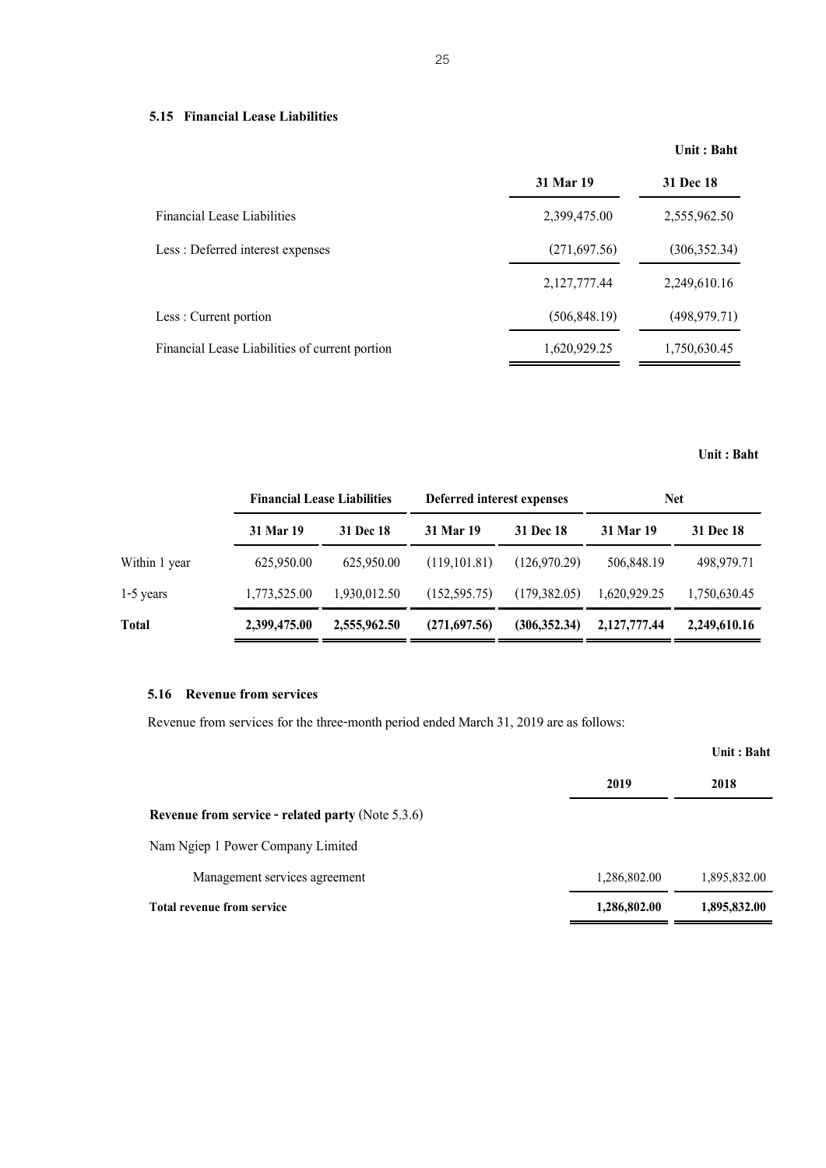## **5.15 Financial Lease Liabilities**

**Unit : Baht**

|                                                | 31 Mar 19     | 31 Dec 18     |
|------------------------------------------------|---------------|---------------|
| <b>Financial Lease Liabilities</b>             | 2,399,475.00  | 2,555,962.50  |
| Less: Deferred interest expenses               | (271, 697.56) | (306, 352.34) |
|                                                | 2,127,777.44  | 2,249,610.16  |
| Less : Current portion                         | (506, 848.19) | (498, 979.71) |
| Financial Lease Liabilities of current portion | 1,620,929.25  | 1,750,630.45  |

## **Unit : Baht**

|               | <b>Financial Lease Liabilities</b> |              | Deferred interest expenses |               | <b>Net</b>   |                  |
|---------------|------------------------------------|--------------|----------------------------|---------------|--------------|------------------|
|               | 31 Mar 19                          | 31 Dec 18    | 31 Mar 19                  | 31 Dec 18     | 31 Mar 19    | <b>31 Dec 18</b> |
| Within 1 year | 625,950.00                         | 625,950.00   | (119.101.81)               | (126.970.29)  | 506,848.19   | 498,979.71       |
| $1-5$ years   | 1,773,525.00                       | 1,930,012.50 | (152, 595, 75)             | (179,382.05)  | 1,620,929.25 | 1,750,630.45     |
| Total         | 2,399,475.00                       | 2,555,962.50 | (271,697.56)               | (306, 352.34) | 2,127,777.44 | 2,249,610.16     |

## **5.16 Revenue from services**

Revenue from services for the three-month period ended March 31, 2019 are as follows:

|                                                          |              | Unit : Baht  |
|----------------------------------------------------------|--------------|--------------|
|                                                          | 2019         | 2018         |
| <b>Revenue from service - related party (Note 5.3.6)</b> |              |              |
| Nam Ngiep 1 Power Company Limited                        |              |              |
| Management services agreement                            | 1,286,802.00 | 1,895,832.00 |
| Total revenue from service                               | 1,286,802.00 | 1,895,832.00 |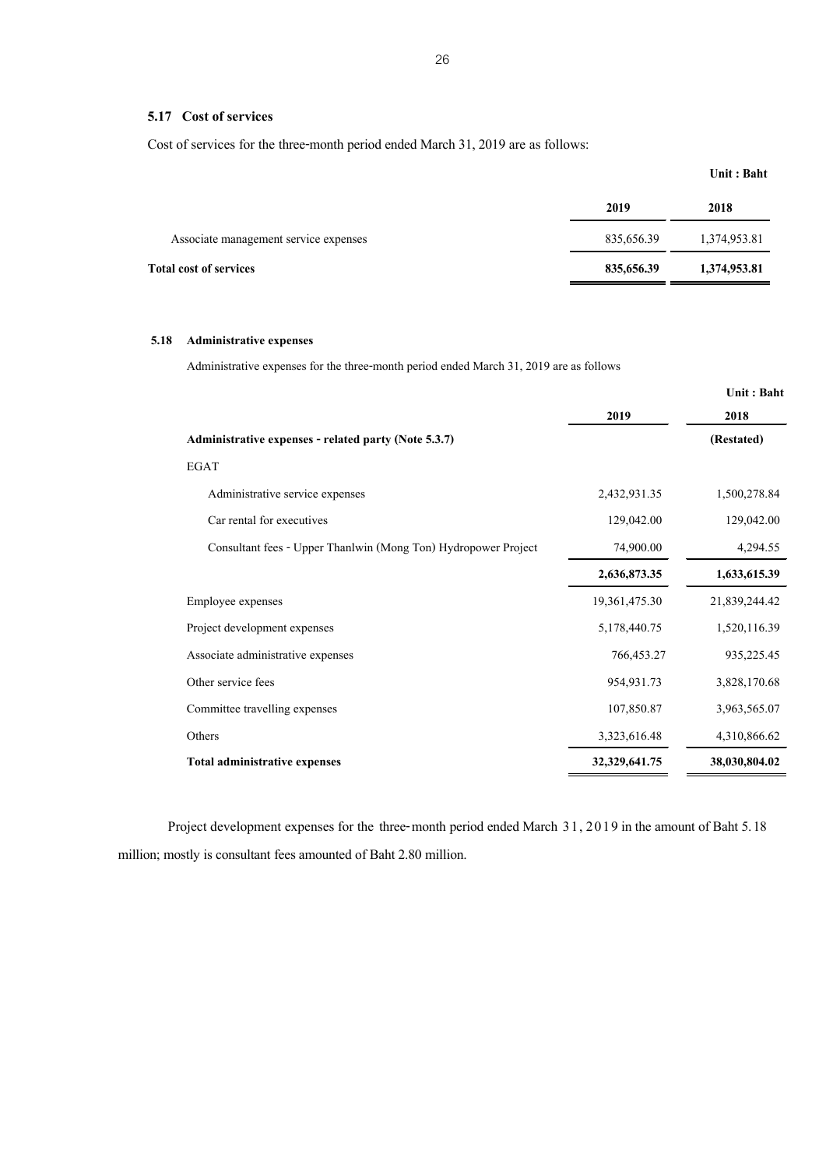## **5.17 Cost of services**

Cost of services for the three-month period ended March 31, 2019 are as follows:

|                                       |            | Unit : Baht  |
|---------------------------------------|------------|--------------|
|                                       | 2019       | 2018         |
| Associate management service expenses | 835,656.39 | 1,374,953.81 |
| <b>Total cost of services</b>         | 835,656.39 | 1,374,953.81 |

## **5.18 Administrative expenses**

Administrative expenses for the three-month period ended March 31, 2019 are as follows

|                                                                |               | Unit: Baht    |
|----------------------------------------------------------------|---------------|---------------|
|                                                                | 2019          | 2018          |
| Administrative expenses - related party (Note 5.3.7)           |               | (Restated)    |
| <b>EGAT</b>                                                    |               |               |
| Administrative service expenses                                | 2,432,931.35  | 1,500,278.84  |
| Car rental for executives                                      | 129,042.00    | 129,042.00    |
| Consultant fees - Upper Thanlwin (Mong Ton) Hydropower Project | 74,900.00     | 4,294.55      |
|                                                                | 2,636,873.35  | 1,633,615.39  |
| Employee expenses                                              | 19,361,475.30 | 21,839,244.42 |
| Project development expenses                                   | 5,178,440.75  | 1,520,116.39  |
| Associate administrative expenses                              | 766,453.27    | 935,225.45    |
| Other service fees                                             | 954, 931. 73  | 3,828,170.68  |
| Committee travelling expenses                                  | 107,850.87    | 3,963,565.07  |
| Others                                                         | 3,323,616.48  | 4,310,866.62  |
| Total administrative expenses                                  | 32,329,641.75 | 38,030,804.02 |

Project development expenses for the three-month period ended March 31, 2019 in the amount of Baht 5.18 million; mostly is consultant fees amounted of Baht 2.80 million.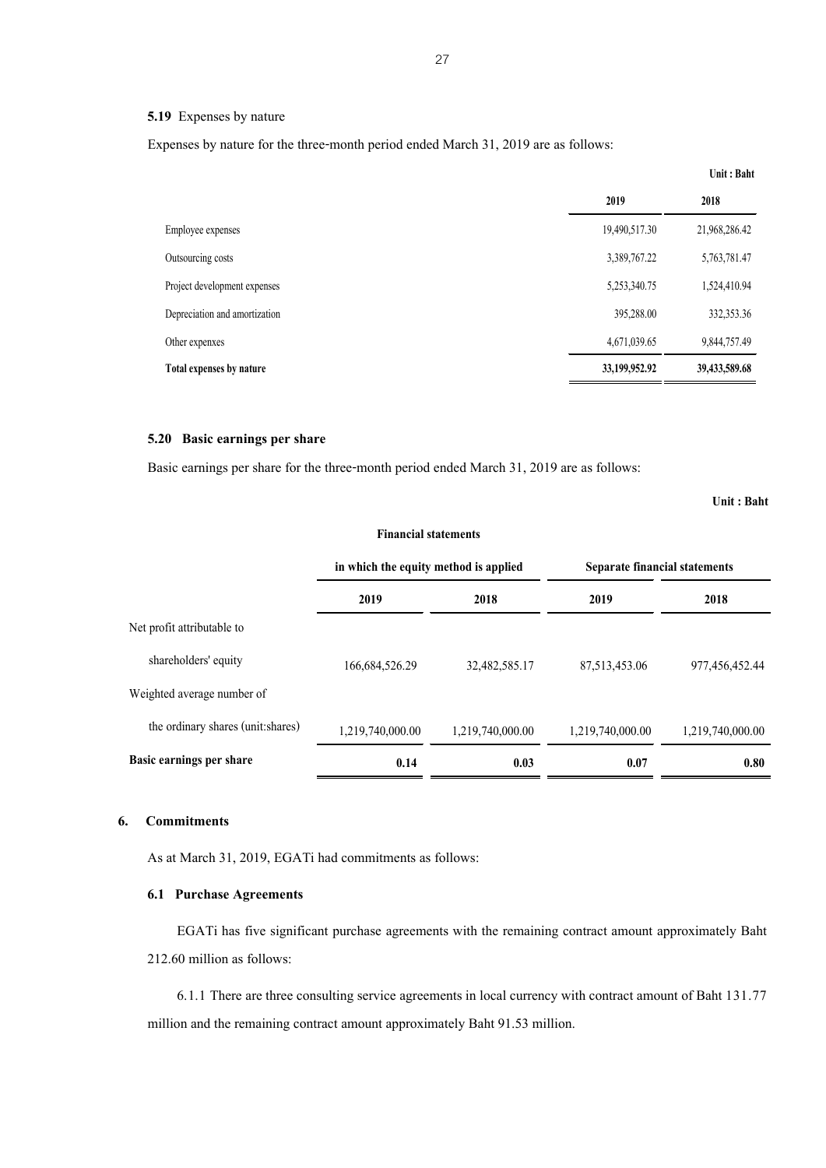#### **5.19** Expenses by nature

Expenses by nature for the three-month period ended March 31, 2019 are as follows:

|                               |               | Unit: Baht    |
|-------------------------------|---------------|---------------|
|                               | 2019          | 2018          |
| Employee expenses             | 19,490,517.30 | 21,968,286.42 |
| Outsourcing costs             | 3,389,767.22  | 5,763,781.47  |
| Project development expenses  | 5,253,340.75  | 1,524,410.94  |
| Depreciation and amortization | 395,288.00    | 332,353.36    |
| Other expenxes                | 4,671,039.65  | 9,844,757.49  |
| Total expenses by nature      | 33,199,952.92 | 39,433,589.68 |
|                               |               |               |

## **5.20 Basic earnings per share**

Basic earnings per share for the three-month period ended March 31, 2019 are as follows:

**Unit : Baht**

|                                    | in which the equity method is applied |                  | Separate financial statements |                  |
|------------------------------------|---------------------------------------|------------------|-------------------------------|------------------|
|                                    | 2019                                  | 2018             | 2019                          | 2018             |
| Net profit attributable to         |                                       |                  |                               |                  |
| shareholders' equity               | 166,684,526.29                        | 32,482,585.17    | 87,513,453.06                 | 977,456,452.44   |
| Weighted average number of         |                                       |                  |                               |                  |
| the ordinary shares (unit: shares) | 1,219,740,000.00                      | 1,219,740,000.00 | 1,219,740,000.00              | 1,219,740,000.00 |
| Basic earnings per share           | 0.14                                  | 0.03             | 0.07                          | 0.80             |

**Financial statements** 

# **6. Commitments**

As at March 31, 2019, EGATi had commitments as follows:

## **6.1 Purchase Agreements**

EGATi has five significant purchase agreements with the remaining contract amount approximately Baht 212.60 million as follows:

6.1.1 There are three consulting service agreements in local currency with contract amount of Baht 131.77 million and the remaining contract amount approximately Baht 91.53 million.